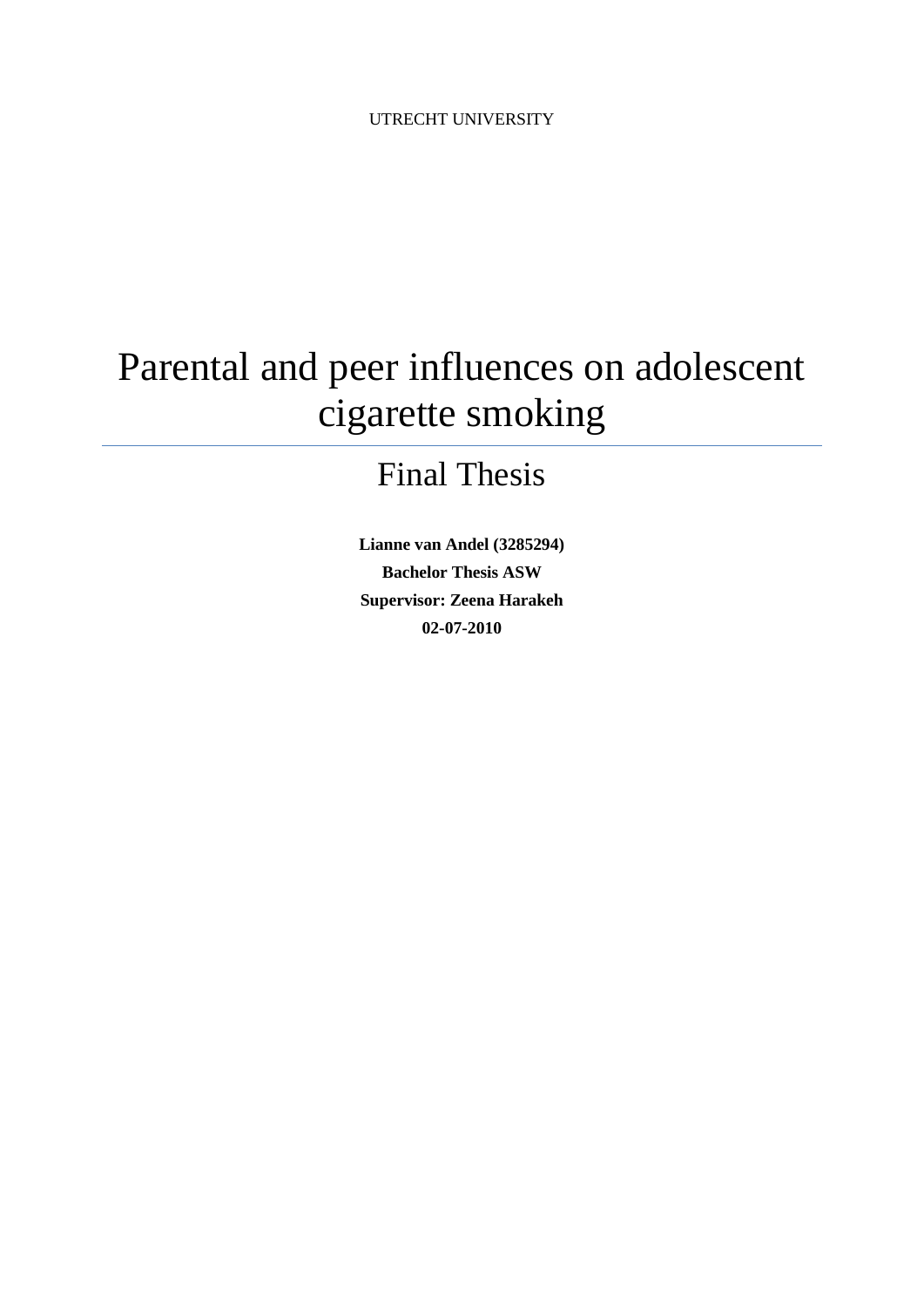# Parental and peer influences on adolescent cigarette smoking

# Final Thesis

**Lianne van Andel (3285294) Bachelor Thesis ASW Supervisor: Zeena Harakeh 02-07-2010**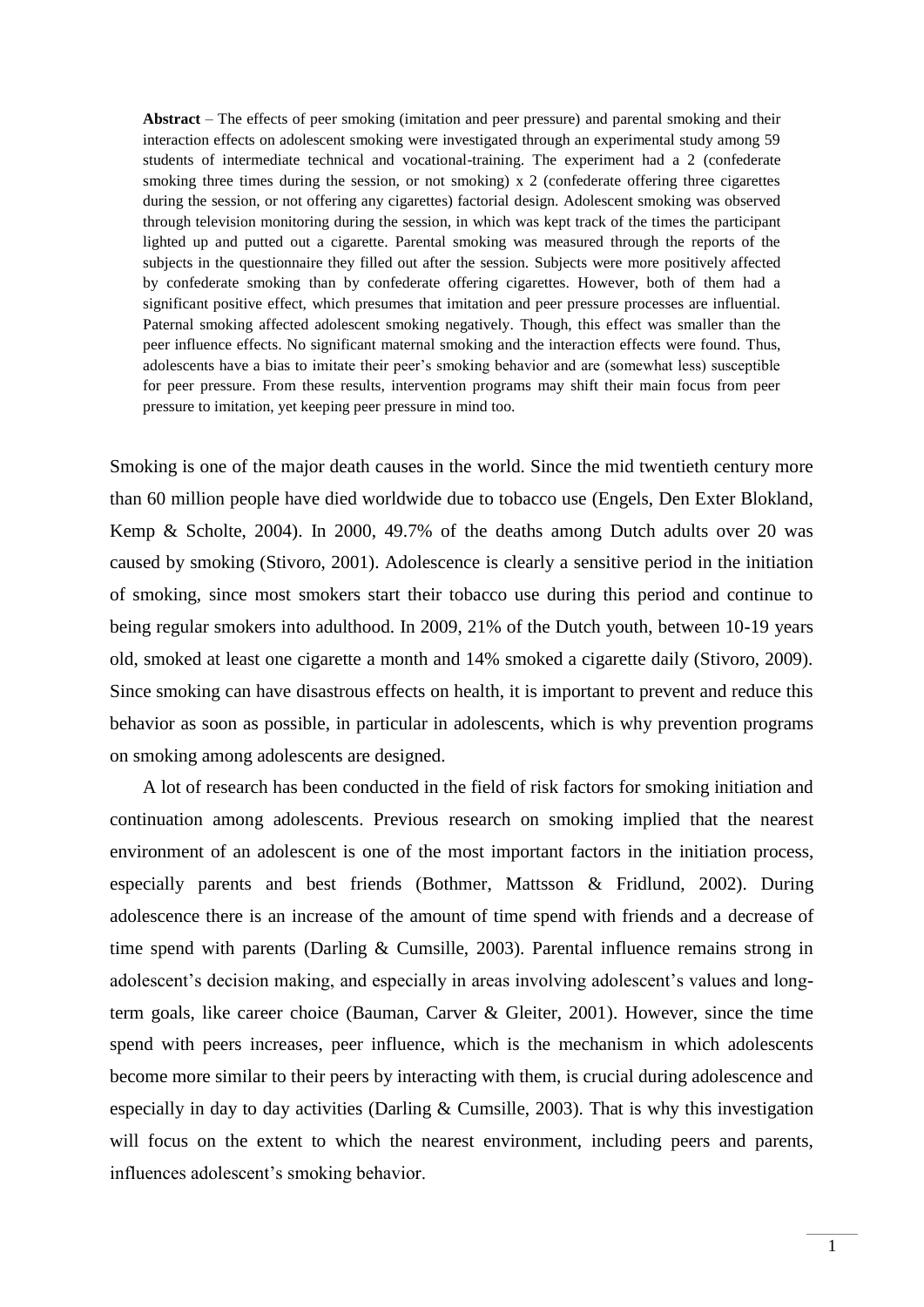**Abstract** – The effects of peer smoking (imitation and peer pressure) and parental smoking and their interaction effects on adolescent smoking were investigated through an experimental study among 59 students of intermediate technical and vocational-training. The experiment had a 2 (confederate smoking three times during the session, or not smoking) x 2 (confederate offering three cigarettes during the session, or not offering any cigarettes) factorial design. Adolescent smoking was observed through television monitoring during the session, in which was kept track of the times the participant lighted up and putted out a cigarette. Parental smoking was measured through the reports of the subjects in the questionnaire they filled out after the session. Subjects were more positively affected by confederate smoking than by confederate offering cigarettes. However, both of them had a significant positive effect, which presumes that imitation and peer pressure processes are influential. Paternal smoking affected adolescent smoking negatively. Though, this effect was smaller than the peer influence effects. No significant maternal smoking and the interaction effects were found. Thus, adolescents have a bias to imitate their peer's smoking behavior and are (somewhat less) susceptible for peer pressure. From these results, intervention programs may shift their main focus from peer pressure to imitation, yet keeping peer pressure in mind too.

Smoking is one of the major death causes in the world. Since the mid twentieth century more than 60 million people have died worldwide due to tobacco use (Engels, Den Exter Blokland, Kemp & Scholte, 2004). In 2000, 49.7% of the deaths among Dutch adults over 20 was caused by smoking (Stivoro, 2001). Adolescence is clearly a sensitive period in the initiation of smoking, since most smokers start their tobacco use during this period and continue to being regular smokers into adulthood. In 2009, 21% of the Dutch youth, between 10-19 years old, smoked at least one cigarette a month and 14% smoked a cigarette daily (Stivoro, 2009). Since smoking can have disastrous effects on health, it is important to prevent and reduce this behavior as soon as possible, in particular in adolescents, which is why prevention programs on smoking among adolescents are designed.

A lot of research has been conducted in the field of risk factors for smoking initiation and continuation among adolescents. Previous research on smoking implied that the nearest environment of an adolescent is one of the most important factors in the initiation process, especially parents and best friends (Bothmer, Mattsson & Fridlund, 2002). During adolescence there is an increase of the amount of time spend with friends and a decrease of time spend with parents (Darling & Cumsille, 2003). Parental influence remains strong in adolescent's decision making, and especially in areas involving adolescent's values and longterm goals, like career choice (Bauman, Carver & Gleiter, 2001). However, since the time spend with peers increases, peer influence, which is the mechanism in which adolescents become more similar to their peers by interacting with them, is crucial during adolescence and especially in day to day activities (Darling & Cumsille, 2003). That is why this investigation will focus on the extent to which the nearest environment, including peers and parents, influences adolescent's smoking behavior.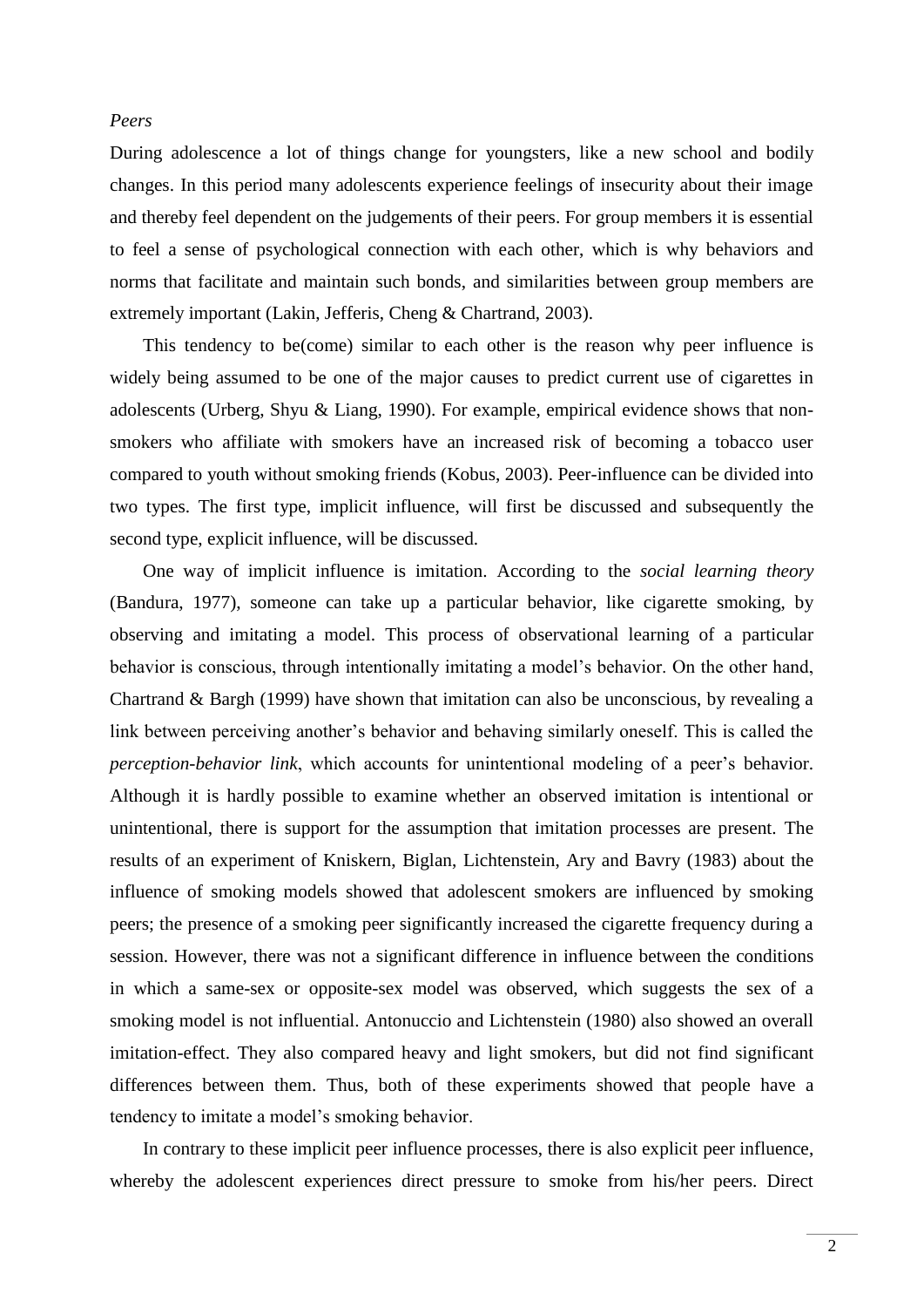#### *Peers*

During adolescence a lot of things change for youngsters, like a new school and bodily changes. In this period many adolescents experience feelings of insecurity about their image and thereby feel dependent on the judgements of their peers. For group members it is essential to feel a sense of psychological connection with each other, which is why behaviors and norms that facilitate and maintain such bonds, and similarities between group members are extremely important (Lakin, Jefferis, Cheng & Chartrand, 2003).

This tendency to be(come) similar to each other is the reason why peer influence is widely being assumed to be one of the major causes to predict current use of cigarettes in adolescents (Urberg, Shyu & Liang, 1990). For example, empirical evidence shows that nonsmokers who affiliate with smokers have an increased risk of becoming a tobacco user compared to youth without smoking friends (Kobus, 2003). Peer-influence can be divided into two types. The first type, implicit influence, will first be discussed and subsequently the second type, explicit influence, will be discussed.

One way of implicit influence is imitation. According to the *social learning theory*  (Bandura, 1977), someone can take up a particular behavior, like cigarette smoking, by observing and imitating a model. This process of observational learning of a particular behavior is conscious, through intentionally imitating a model's behavior. On the other hand, Chartrand & Bargh (1999) have shown that imitation can also be unconscious, by revealing a link between perceiving another's behavior and behaving similarly oneself. This is called the *perception-behavior link*, which accounts for unintentional modeling of a peer's behavior. Although it is hardly possible to examine whether an observed imitation is intentional or unintentional, there is support for the assumption that imitation processes are present. The results of an experiment of Kniskern, Biglan, Lichtenstein, Ary and Bavry (1983) about the influence of smoking models showed that adolescent smokers are influenced by smoking peers; the presence of a smoking peer significantly increased the cigarette frequency during a session. However, there was not a significant difference in influence between the conditions in which a same-sex or opposite-sex model was observed, which suggests the sex of a smoking model is not influential. Antonuccio and Lichtenstein (1980) also showed an overall imitation-effect. They also compared heavy and light smokers, but did not find significant differences between them. Thus, both of these experiments showed that people have a tendency to imitate a model's smoking behavior.

In contrary to these implicit peer influence processes, there is also explicit peer influence, whereby the adolescent experiences direct pressure to smoke from his/her peers. Direct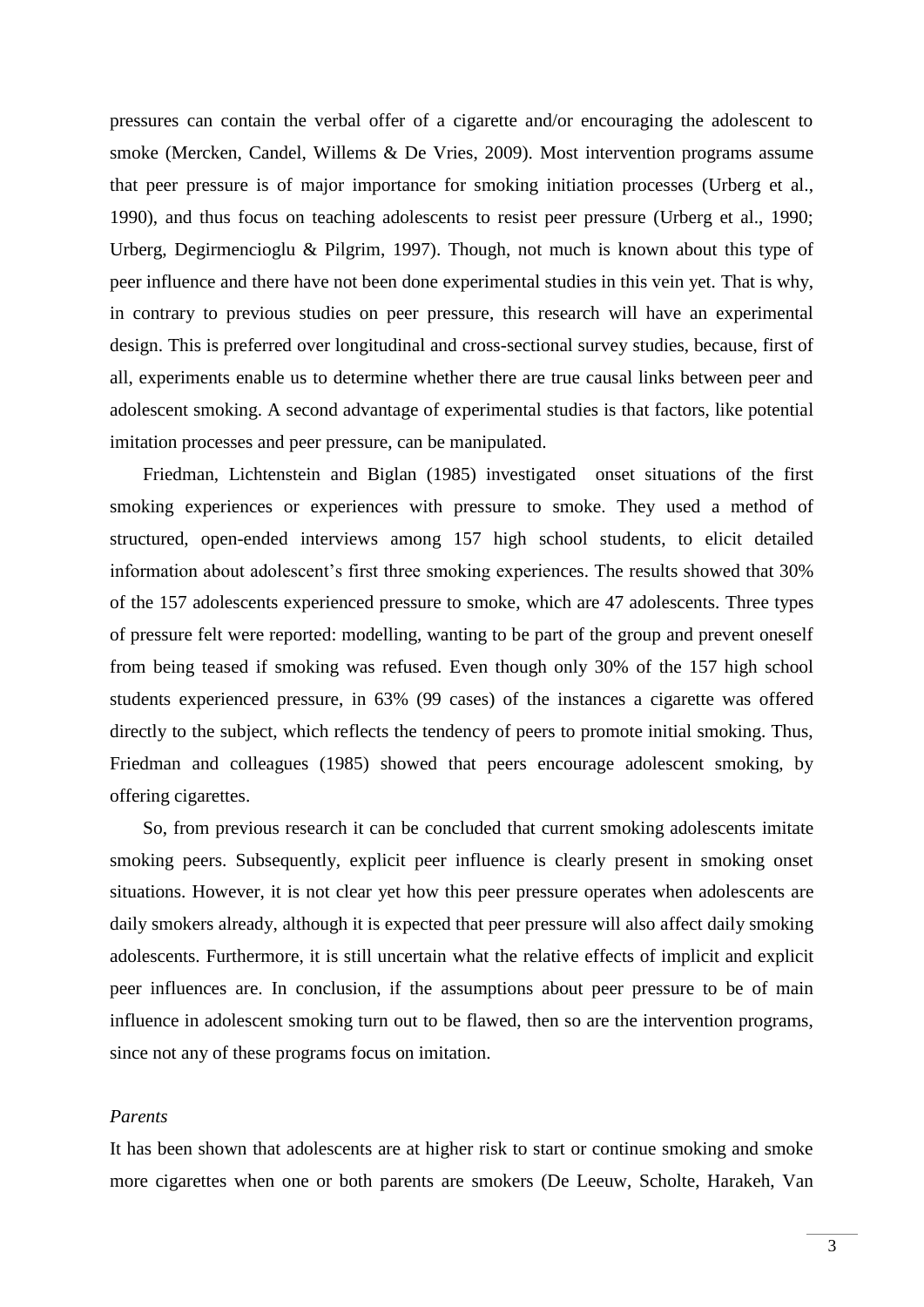pressures can contain the verbal offer of a cigarette and/or encouraging the adolescent to smoke (Mercken, Candel, Willems & De Vries, 2009). Most intervention programs assume that peer pressure is of major importance for smoking initiation processes (Urberg et al., 1990), and thus focus on teaching adolescents to resist peer pressure (Urberg et al., 1990; Urberg, Degirmencioglu & Pilgrim, 1997). Though, not much is known about this type of peer influence and there have not been done experimental studies in this vein yet. That is why, in contrary to previous studies on peer pressure, this research will have an experimental design. This is preferred over longitudinal and cross-sectional survey studies, because, first of all, experiments enable us to determine whether there are true causal links between peer and adolescent smoking. A second advantage of experimental studies is that factors, like potential imitation processes and peer pressure, can be manipulated.

Friedman, Lichtenstein and Biglan (1985) investigated onset situations of the first smoking experiences or experiences with pressure to smoke. They used a method of structured, open-ended interviews among 157 high school students, to elicit detailed information about adolescent's first three smoking experiences. The results showed that 30% of the 157 adolescents experienced pressure to smoke, which are 47 adolescents. Three types of pressure felt were reported: modelling, wanting to be part of the group and prevent oneself from being teased if smoking was refused. Even though only 30% of the 157 high school students experienced pressure, in 63% (99 cases) of the instances a cigarette was offered directly to the subject, which reflects the tendency of peers to promote initial smoking. Thus, Friedman and colleagues (1985) showed that peers encourage adolescent smoking, by offering cigarettes.

So, from previous research it can be concluded that current smoking adolescents imitate smoking peers. Subsequently, explicit peer influence is clearly present in smoking onset situations. However, it is not clear yet how this peer pressure operates when adolescents are daily smokers already, although it is expected that peer pressure will also affect daily smoking adolescents. Furthermore, it is still uncertain what the relative effects of implicit and explicit peer influences are. In conclusion, if the assumptions about peer pressure to be of main influence in adolescent smoking turn out to be flawed, then so are the intervention programs, since not any of these programs focus on imitation.

# *Parents*

It has been shown that adolescents are at higher risk to start or continue smoking and smoke more cigarettes when one or both parents are smokers (De Leeuw, Scholte, Harakeh, Van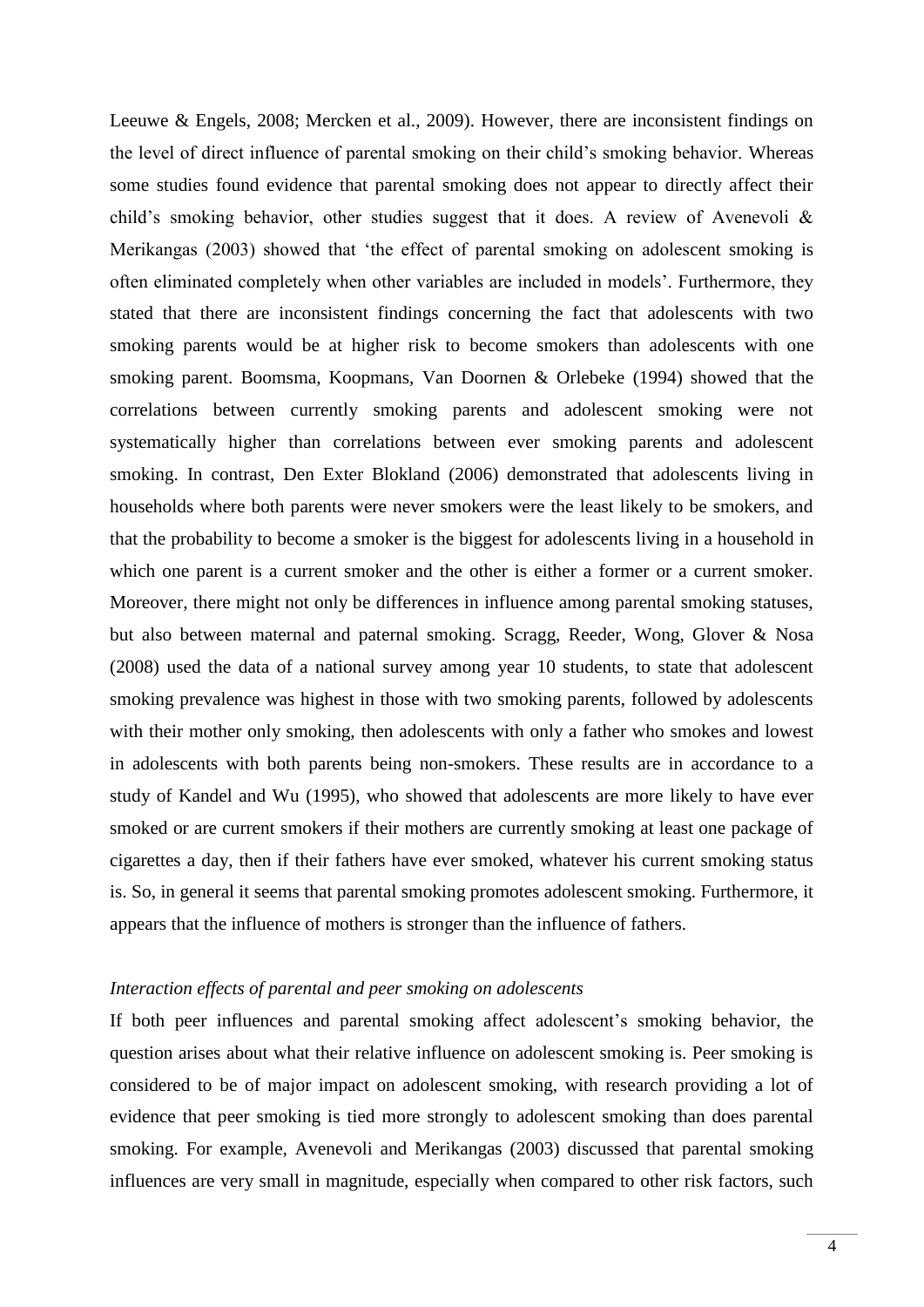Leeuwe & Engels, 2008; Mercken et al., 2009). However, there are inconsistent findings on the level of direct influence of parental smoking on their child's smoking behavior. Whereas some studies found evidence that parental smoking does not appear to directly affect their child's smoking behavior, other studies suggest that it does. A review of Avenevoli & Merikangas (2003) showed that 'the effect of parental smoking on adolescent smoking is often eliminated completely when other variables are included in models'. Furthermore, they stated that there are inconsistent findings concerning the fact that adolescents with two smoking parents would be at higher risk to become smokers than adolescents with one smoking parent. Boomsma, Koopmans, Van Doornen & Orlebeke (1994) showed that the correlations between currently smoking parents and adolescent smoking were not systematically higher than correlations between ever smoking parents and adolescent smoking. In contrast, Den Exter Blokland (2006) demonstrated that adolescents living in households where both parents were never smokers were the least likely to be smokers, and that the probability to become a smoker is the biggest for adolescents living in a household in which one parent is a current smoker and the other is either a former or a current smoker. Moreover, there might not only be differences in influence among parental smoking statuses, but also between maternal and paternal smoking. Scragg, Reeder, Wong, Glover & Nosa (2008) used the data of a national survey among year 10 students, to state that adolescent smoking prevalence was highest in those with two smoking parents, followed by adolescents with their mother only smoking, then adolescents with only a father who smokes and lowest in adolescents with both parents being non-smokers. These results are in accordance to a study of Kandel and Wu (1995), who showed that adolescents are more likely to have ever smoked or are current smokers if their mothers are currently smoking at least one package of cigarettes a day, then if their fathers have ever smoked, whatever his current smoking status is. So, in general it seems that parental smoking promotes adolescent smoking. Furthermore, it appears that the influence of mothers is stronger than the influence of fathers.

# *Interaction effects of parental and peer smoking on adolescents*

If both peer influences and parental smoking affect adolescent's smoking behavior, the question arises about what their relative influence on adolescent smoking is. Peer smoking is considered to be of major impact on adolescent smoking, with research providing a lot of evidence that peer smoking is tied more strongly to adolescent smoking than does parental smoking. For example, Avenevoli and Merikangas (2003) discussed that parental smoking influences are very small in magnitude, especially when compared to other risk factors, such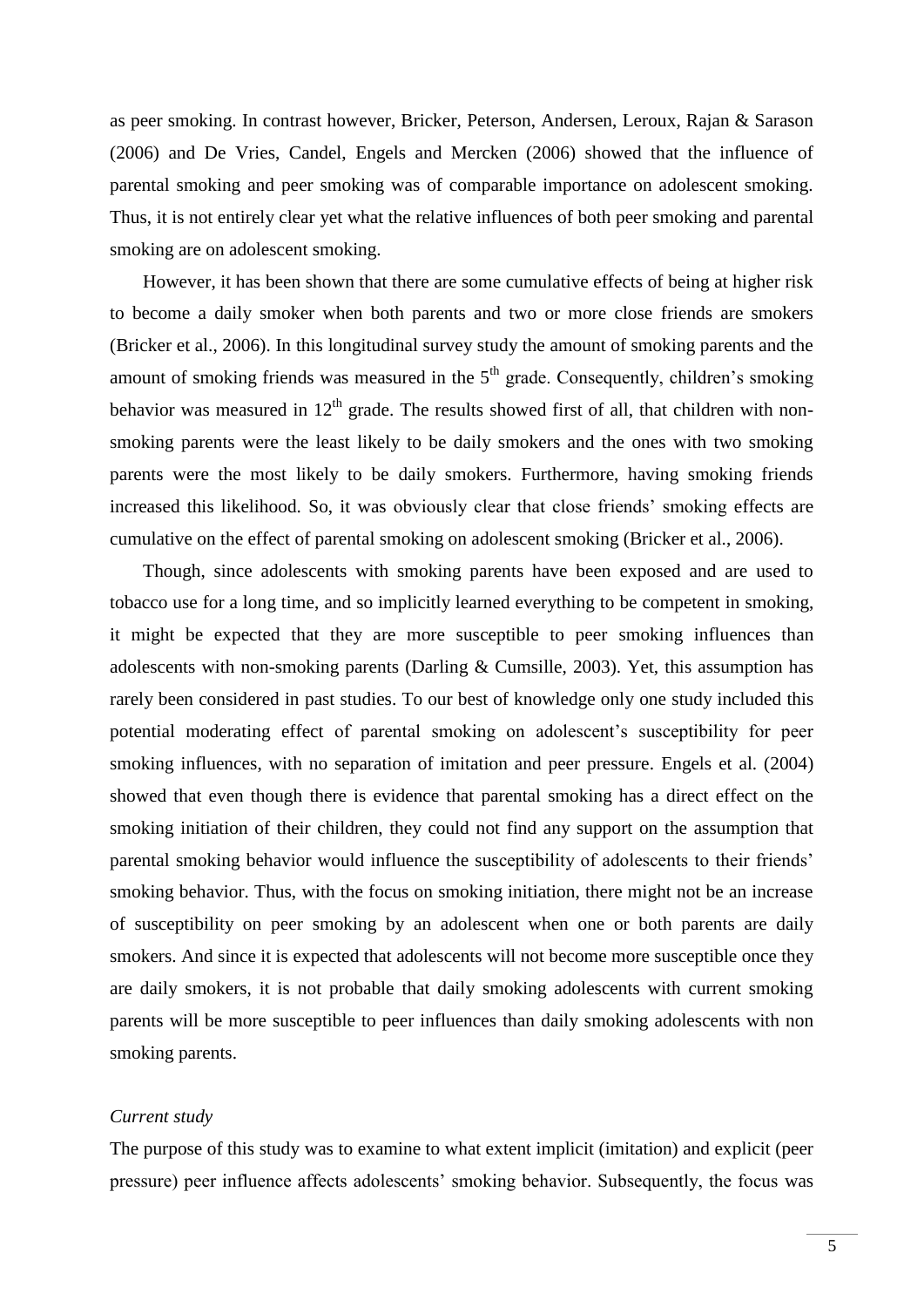as peer smoking. In contrast however, Bricker, Peterson, Andersen, Leroux, Rajan & Sarason (2006) and De Vries, Candel, Engels and Mercken (2006) showed that the influence of parental smoking and peer smoking was of comparable importance on adolescent smoking. Thus, it is not entirely clear yet what the relative influences of both peer smoking and parental smoking are on adolescent smoking.

However, it has been shown that there are some cumulative effects of being at higher risk to become a daily smoker when both parents and two or more close friends are smokers (Bricker et al., 2006). In this longitudinal survey study the amount of smoking parents and the amount of smoking friends was measured in the  $5<sup>th</sup>$  grade. Consequently, children's smoking behavior was measured in  $12<sup>th</sup>$  grade. The results showed first of all, that children with nonsmoking parents were the least likely to be daily smokers and the ones with two smoking parents were the most likely to be daily smokers. Furthermore, having smoking friends increased this likelihood. So, it was obviously clear that close friends' smoking effects are cumulative on the effect of parental smoking on adolescent smoking (Bricker et al., 2006).

Though, since adolescents with smoking parents have been exposed and are used to tobacco use for a long time, and so implicitly learned everything to be competent in smoking, it might be expected that they are more susceptible to peer smoking influences than adolescents with non-smoking parents (Darling & Cumsille, 2003). Yet, this assumption has rarely been considered in past studies. To our best of knowledge only one study included this potential moderating effect of parental smoking on adolescent's susceptibility for peer smoking influences, with no separation of imitation and peer pressure. Engels et al. (2004) showed that even though there is evidence that parental smoking has a direct effect on the smoking initiation of their children, they could not find any support on the assumption that parental smoking behavior would influence the susceptibility of adolescents to their friends' smoking behavior. Thus, with the focus on smoking initiation, there might not be an increase of susceptibility on peer smoking by an adolescent when one or both parents are daily smokers. And since it is expected that adolescents will not become more susceptible once they are daily smokers, it is not probable that daily smoking adolescents with current smoking parents will be more susceptible to peer influences than daily smoking adolescents with non smoking parents.

#### *Current study*

The purpose of this study was to examine to what extent implicit (imitation) and explicit (peer pressure) peer influence affects adolescents' smoking behavior. Subsequently, the focus was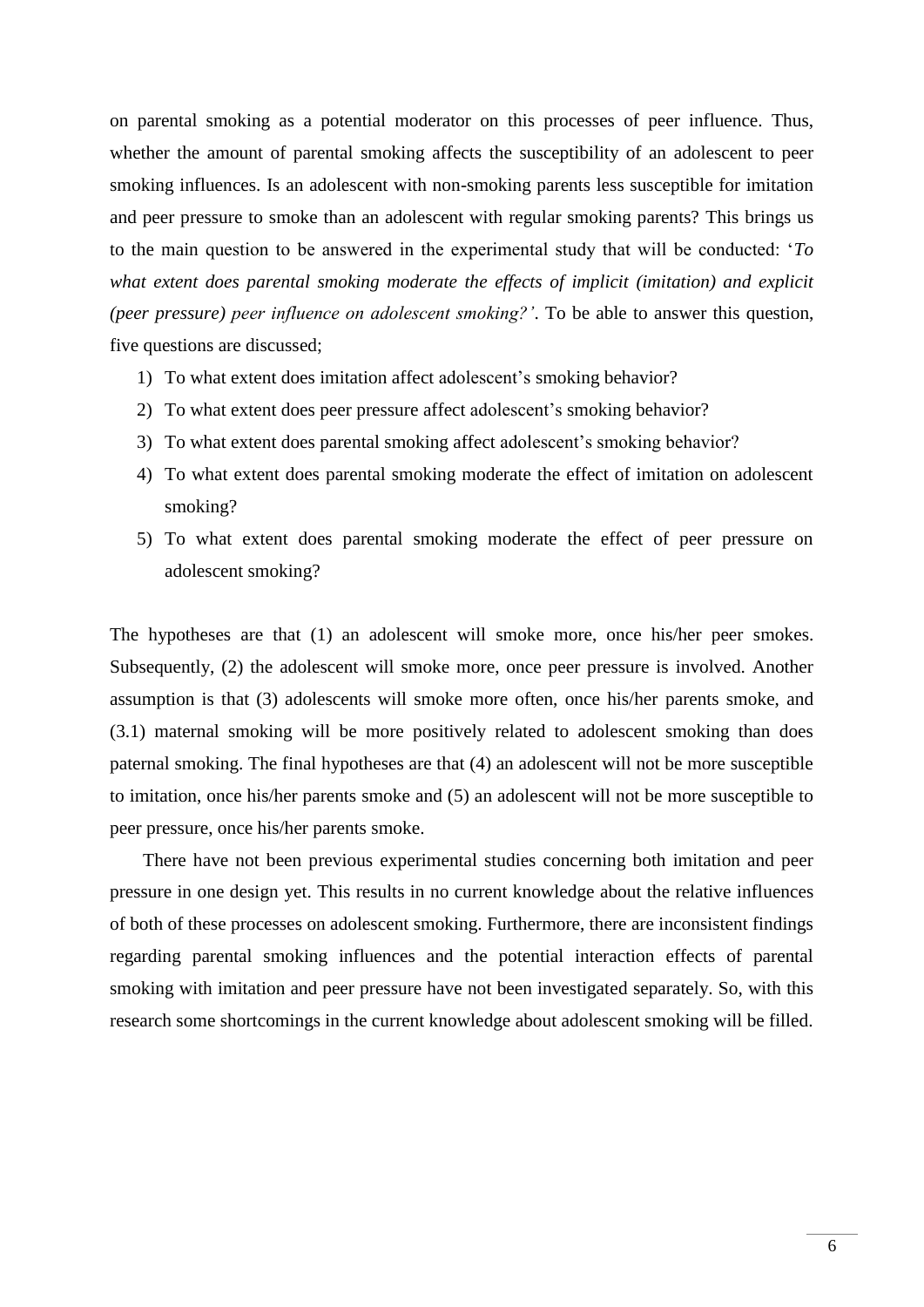on parental smoking as a potential moderator on this processes of peer influence. Thus, whether the amount of parental smoking affects the susceptibility of an adolescent to peer smoking influences. Is an adolescent with non-smoking parents less susceptible for imitation and peer pressure to smoke than an adolescent with regular smoking parents? This brings us to the main question to be answered in the experimental study that will be conducted: '*To what extent does parental smoking moderate the effects of implicit (imitation) and explicit (peer pressure) peer influence on adolescent smoking?'*. To be able to answer this question, five questions are discussed;

- 1) To what extent does imitation affect adolescent's smoking behavior?
- 2) To what extent does peer pressure affect adolescent's smoking behavior?
- 3) To what extent does parental smoking affect adolescent's smoking behavior?
- 4) To what extent does parental smoking moderate the effect of imitation on adolescent smoking?
- 5) To what extent does parental smoking moderate the effect of peer pressure on adolescent smoking?

The hypotheses are that (1) an adolescent will smoke more, once his/her peer smokes. Subsequently, (2) the adolescent will smoke more, once peer pressure is involved. Another assumption is that (3) adolescents will smoke more often, once his/her parents smoke, and (3.1) maternal smoking will be more positively related to adolescent smoking than does paternal smoking. The final hypotheses are that (4) an adolescent will not be more susceptible to imitation, once his/her parents smoke and (5) an adolescent will not be more susceptible to peer pressure, once his/her parents smoke.

There have not been previous experimental studies concerning both imitation and peer pressure in one design yet. This results in no current knowledge about the relative influences of both of these processes on adolescent smoking. Furthermore, there are inconsistent findings regarding parental smoking influences and the potential interaction effects of parental smoking with imitation and peer pressure have not been investigated separately. So, with this research some shortcomings in the current knowledge about adolescent smoking will be filled.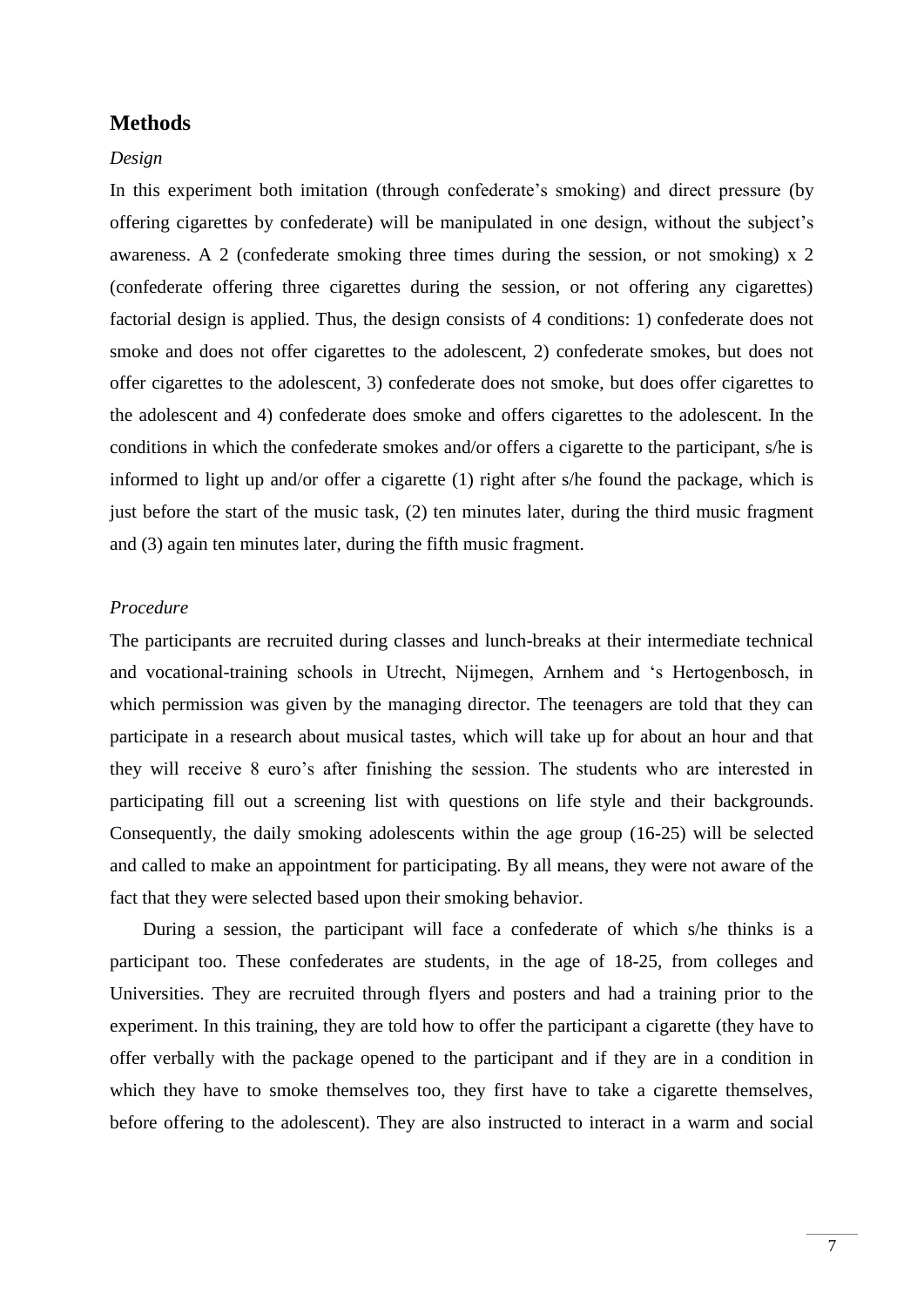# **Methods**

# *Design*

In this experiment both imitation (through confederate's smoking) and direct pressure (by offering cigarettes by confederate) will be manipulated in one design, without the subject's awareness. A 2 (confederate smoking three times during the session, or not smoking) x 2 (confederate offering three cigarettes during the session, or not offering any cigarettes) factorial design is applied. Thus, the design consists of 4 conditions: 1) confederate does not smoke and does not offer cigarettes to the adolescent, 2) confederate smokes, but does not offer cigarettes to the adolescent, 3) confederate does not smoke, but does offer cigarettes to the adolescent and 4) confederate does smoke and offers cigarettes to the adolescent. In the conditions in which the confederate smokes and/or offers a cigarette to the participant, s/he is informed to light up and/or offer a cigarette (1) right after s/he found the package, which is just before the start of the music task, (2) ten minutes later, during the third music fragment and (3) again ten minutes later, during the fifth music fragment.

# *Procedure*

The participants are recruited during classes and lunch-breaks at their intermediate technical and vocational-training schools in Utrecht, Nijmegen, Arnhem and 's Hertogenbosch, in which permission was given by the managing director. The teenagers are told that they can participate in a research about musical tastes, which will take up for about an hour and that they will receive 8 euro's after finishing the session. The students who are interested in participating fill out a screening list with questions on life style and their backgrounds. Consequently, the daily smoking adolescents within the age group (16-25) will be selected and called to make an appointment for participating. By all means, they were not aware of the fact that they were selected based upon their smoking behavior.

During a session, the participant will face a confederate of which s/he thinks is a participant too. These confederates are students, in the age of 18-25, from colleges and Universities. They are recruited through flyers and posters and had a training prior to the experiment. In this training, they are told how to offer the participant a cigarette (they have to offer verbally with the package opened to the participant and if they are in a condition in which they have to smoke themselves too, they first have to take a cigarette themselves, before offering to the adolescent). They are also instructed to interact in a warm and social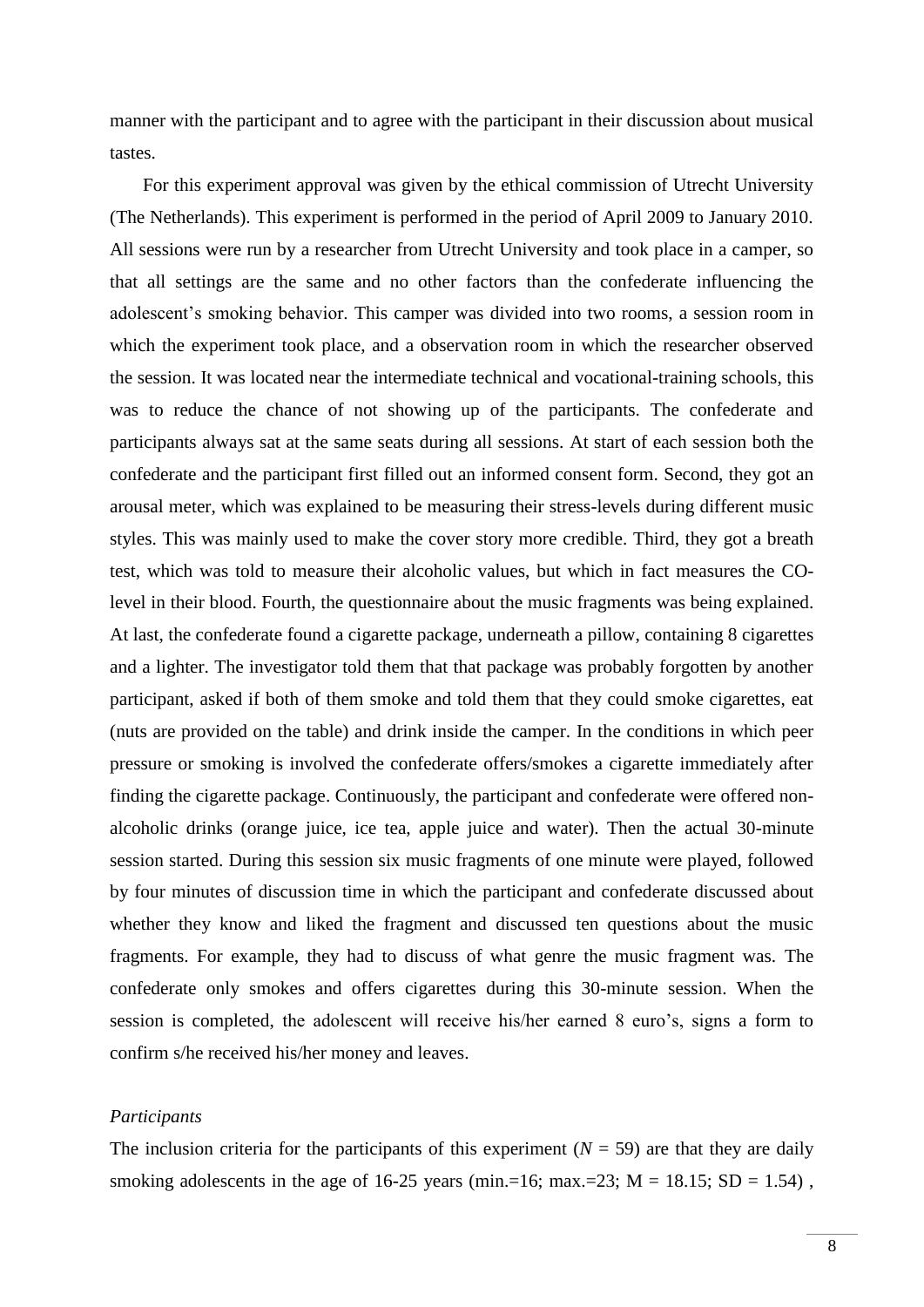manner with the participant and to agree with the participant in their discussion about musical tastes.

For this experiment approval was given by the ethical commission of Utrecht University (The Netherlands). This experiment is performed in the period of April 2009 to January 2010. All sessions were run by a researcher from Utrecht University and took place in a camper, so that all settings are the same and no other factors than the confederate influencing the adolescent's smoking behavior. This camper was divided into two rooms, a session room in which the experiment took place, and a observation room in which the researcher observed the session. It was located near the intermediate technical and vocational-training schools, this was to reduce the chance of not showing up of the participants. The confederate and participants always sat at the same seats during all sessions. At start of each session both the confederate and the participant first filled out an informed consent form. Second, they got an arousal meter, which was explained to be measuring their stress-levels during different music styles. This was mainly used to make the cover story more credible. Third, they got a breath test, which was told to measure their alcoholic values, but which in fact measures the COlevel in their blood. Fourth, the questionnaire about the music fragments was being explained. At last, the confederate found a cigarette package, underneath a pillow, containing 8 cigarettes and a lighter. The investigator told them that that package was probably forgotten by another participant, asked if both of them smoke and told them that they could smoke cigarettes, eat (nuts are provided on the table) and drink inside the camper. In the conditions in which peer pressure or smoking is involved the confederate offers/smokes a cigarette immediately after finding the cigarette package. Continuously, the participant and confederate were offered nonalcoholic drinks (orange juice, ice tea, apple juice and water). Then the actual 30-minute session started. During this session six music fragments of one minute were played, followed by four minutes of discussion time in which the participant and confederate discussed about whether they know and liked the fragment and discussed ten questions about the music fragments. For example, they had to discuss of what genre the music fragment was. The confederate only smokes and offers cigarettes during this 30-minute session. When the session is completed, the adolescent will receive his/her earned 8 euro's, signs a form to confirm s/he received his/her money and leaves.

# *Participants*

The inclusion criteria for the participants of this experiment  $(N = 59)$  are that they are daily smoking adolescents in the age of 16-25 years (min.=16; max.=23;  $M = 18.15$ ;  $SD = 1.54$ ),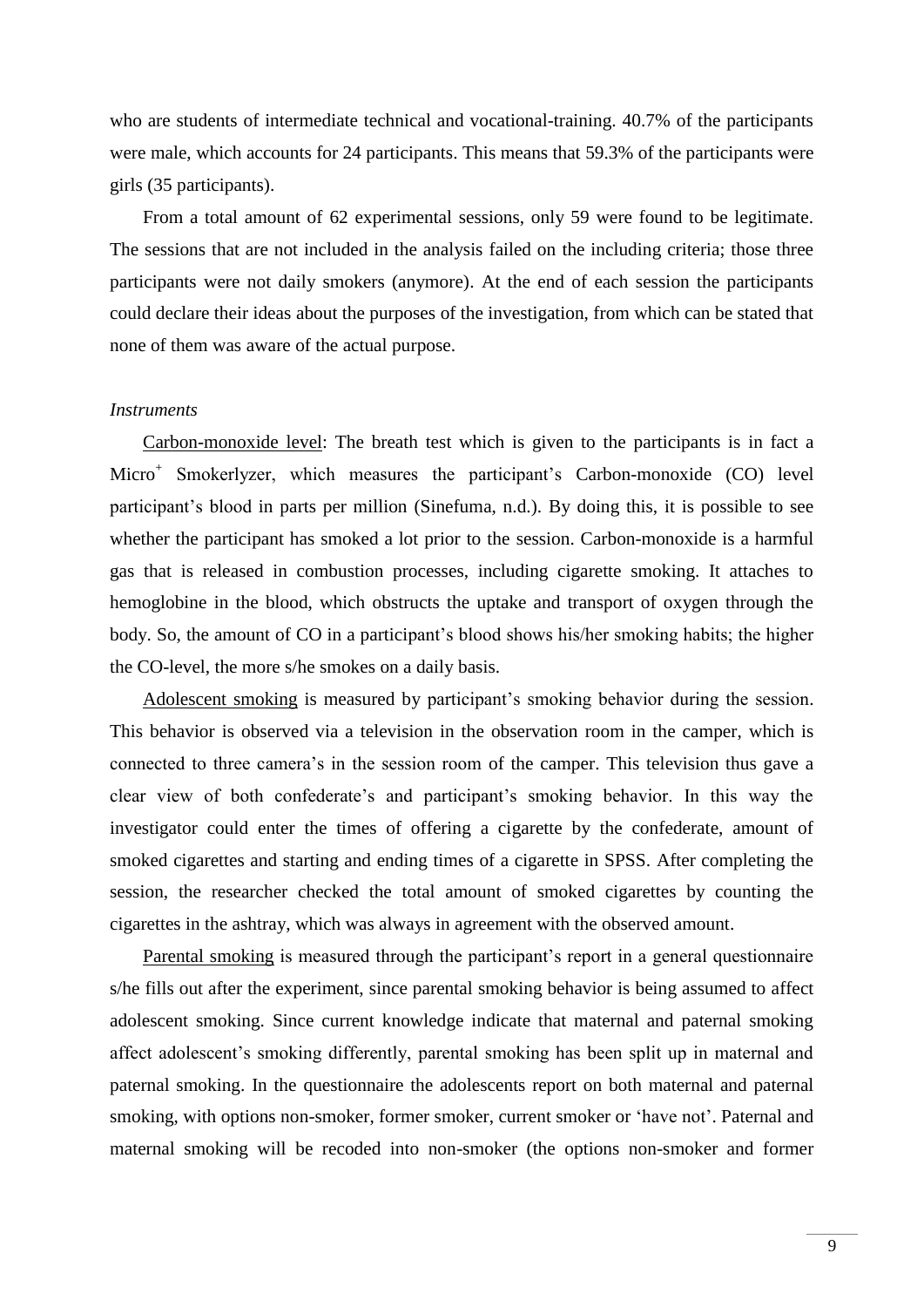who are students of intermediate technical and vocational-training. 40.7% of the participants were male, which accounts for 24 participants. This means that 59.3% of the participants were girls (35 participants).

From a total amount of 62 experimental sessions, only 59 were found to be legitimate. The sessions that are not included in the analysis failed on the including criteria; those three participants were not daily smokers (anymore). At the end of each session the participants could declare their ideas about the purposes of the investigation, from which can be stated that none of them was aware of the actual purpose.

# *Instruments*

Carbon-monoxide level: The breath test which is given to the participants is in fact a Micro<sup>+</sup> Smokerlyzer, which measures the participant's Carbon-monoxide (CO) level participant's blood in parts per million (Sinefuma, n.d.). By doing this, it is possible to see whether the participant has smoked a lot prior to the session. Carbon-monoxide is a harmful gas that is released in combustion processes, including cigarette smoking. It attaches to hemoglobine in the blood, which obstructs the uptake and transport of oxygen through the body. So, the amount of CO in a participant's blood shows his/her smoking habits; the higher the CO-level, the more s/he smokes on a daily basis.

Adolescent smoking is measured by participant's smoking behavior during the session. This behavior is observed via a television in the observation room in the camper, which is connected to three camera's in the session room of the camper. This television thus gave a clear view of both confederate's and participant's smoking behavior. In this way the investigator could enter the times of offering a cigarette by the confederate, amount of smoked cigarettes and starting and ending times of a cigarette in SPSS. After completing the session, the researcher checked the total amount of smoked cigarettes by counting the cigarettes in the ashtray, which was always in agreement with the observed amount.

Parental smoking is measured through the participant's report in a general questionnaire s/he fills out after the experiment, since parental smoking behavior is being assumed to affect adolescent smoking. Since current knowledge indicate that maternal and paternal smoking affect adolescent's smoking differently, parental smoking has been split up in maternal and paternal smoking. In the questionnaire the adolescents report on both maternal and paternal smoking, with options non-smoker, former smoker, current smoker or 'have not'. Paternal and maternal smoking will be recoded into non-smoker (the options non-smoker and former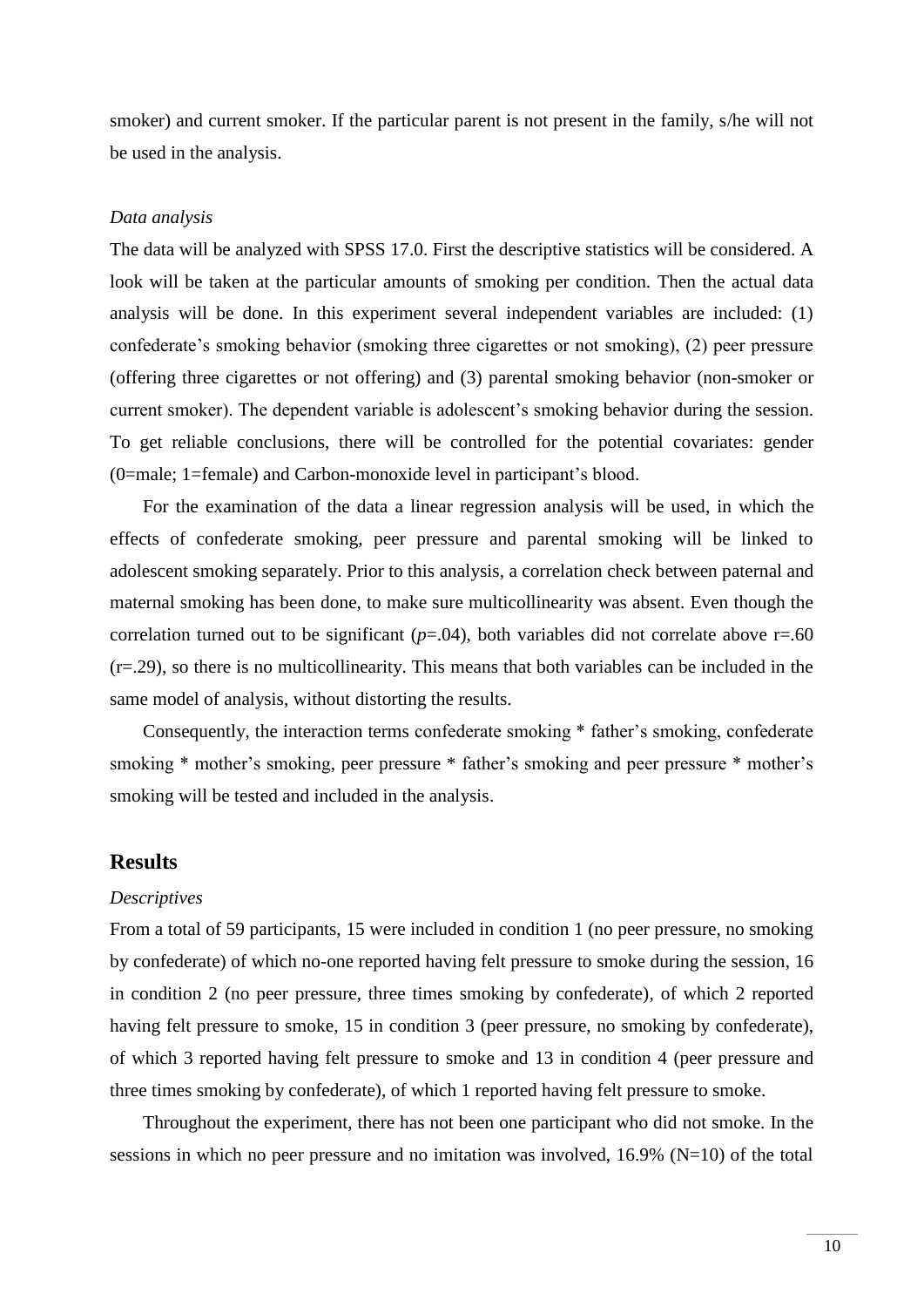smoker) and current smoker. If the particular parent is not present in the family, s/he will not be used in the analysis.

### *Data analysis*

The data will be analyzed with SPSS 17.0. First the descriptive statistics will be considered. A look will be taken at the particular amounts of smoking per condition. Then the actual data analysis will be done. In this experiment several independent variables are included: (1) confederate's smoking behavior (smoking three cigarettes or not smoking), (2) peer pressure (offering three cigarettes or not offering) and (3) parental smoking behavior (non-smoker or current smoker). The dependent variable is adolescent's smoking behavior during the session. To get reliable conclusions, there will be controlled for the potential covariates: gender (0=male; 1=female) and Carbon-monoxide level in participant's blood.

For the examination of the data a linear regression analysis will be used, in which the effects of confederate smoking, peer pressure and parental smoking will be linked to adolescent smoking separately. Prior to this analysis, a correlation check between paternal and maternal smoking has been done, to make sure multicollinearity was absent. Even though the correlation turned out to be significant  $(p=.04)$ , both variables did not correlate above  $r=.60$ (r=.29), so there is no multicollinearity. This means that both variables can be included in the same model of analysis, without distorting the results.

Consequently, the interaction terms confederate smoking \* father's smoking, confederate smoking \* mother's smoking, peer pressure \* father's smoking and peer pressure \* mother's smoking will be tested and included in the analysis.

# **Results**

#### *Descriptives*

From a total of 59 participants, 15 were included in condition 1 (no peer pressure, no smoking by confederate) of which no-one reported having felt pressure to smoke during the session, 16 in condition 2 (no peer pressure, three times smoking by confederate), of which 2 reported having felt pressure to smoke, 15 in condition 3 (peer pressure, no smoking by confederate), of which 3 reported having felt pressure to smoke and 13 in condition 4 (peer pressure and three times smoking by confederate), of which 1 reported having felt pressure to smoke.

Throughout the experiment, there has not been one participant who did not smoke. In the sessions in which no peer pressure and no imitation was involved,  $16.9\%$  (N=10) of the total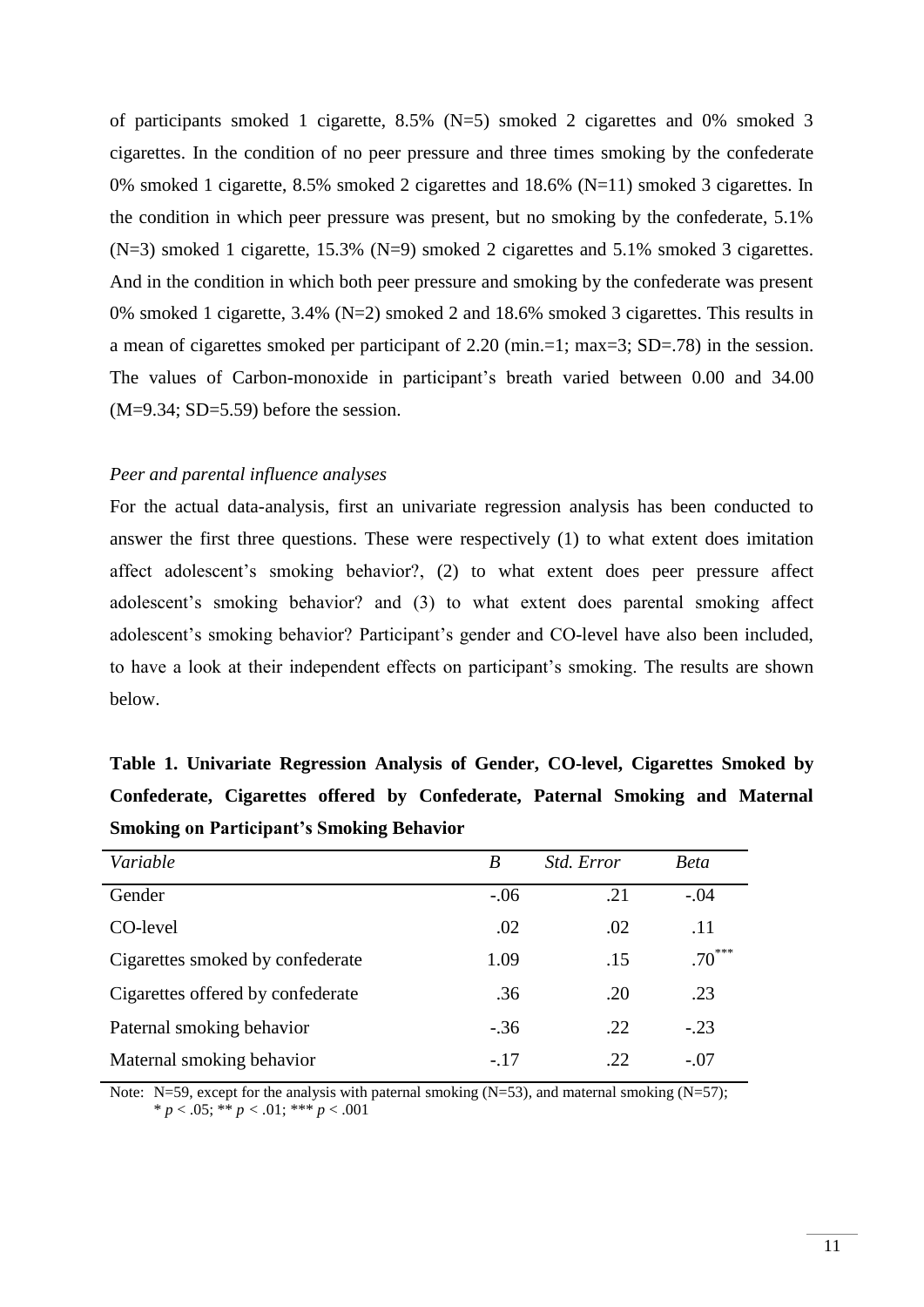of participants smoked 1 cigarette, 8.5% (N=5) smoked 2 cigarettes and 0% smoked 3 cigarettes. In the condition of no peer pressure and three times smoking by the confederate 0% smoked 1 cigarette, 8.5% smoked 2 cigarettes and 18.6% (N=11) smoked 3 cigarettes. In the condition in which peer pressure was present, but no smoking by the confederate, 5.1% (N=3) smoked 1 cigarette, 15.3% (N=9) smoked 2 cigarettes and 5.1% smoked 3 cigarettes. And in the condition in which both peer pressure and smoking by the confederate was present 0% smoked 1 cigarette, 3.4% (N=2) smoked 2 and 18.6% smoked 3 cigarettes. This results in a mean of cigarettes smoked per participant of 2.20 (min.=1; max=3; SD=.78) in the session. The values of Carbon-monoxide in participant's breath varied between 0.00 and 34.00  $(M=9.34; SD=5.59)$  before the session.

# *Peer and parental influence analyses*

For the actual data-analysis, first an univariate regression analysis has been conducted to answer the first three questions. These were respectively (1) to what extent does imitation affect adolescent's smoking behavior?, (2) to what extent does peer pressure affect adolescent's smoking behavior? and (3) to what extent does parental smoking affect adolescent's smoking behavior? Participant's gender and CO-level have also been included, to have a look at their independent effects on participant's smoking. The results are shown below.

| Table 1. Univariate Regression Analysis of Gender, CO-level, Cigarettes Smoked by |  |  |  |                                                                               |  |  |  |  |  |
|-----------------------------------------------------------------------------------|--|--|--|-------------------------------------------------------------------------------|--|--|--|--|--|
|                                                                                   |  |  |  | Confederate, Cigarettes offered by Confederate, Paternal Smoking and Maternal |  |  |  |  |  |
| <b>Smoking on Participant's Smoking Behavior</b>                                  |  |  |  |                                                                               |  |  |  |  |  |

| Variable                          | B      | Std. Error | <b>Beta</b> |
|-----------------------------------|--------|------------|-------------|
| Gender                            | $-.06$ | .21        | $-.04$      |
| CO-level                          | .02    | .02        | .11         |
| Cigarettes smoked by confederate  | 1.09   | .15        | $.70***$    |
| Cigarettes offered by confederate | .36    | .20        | .23         |
| Paternal smoking behavior         | $-.36$ | .22        | $-.23$      |
| Maternal smoking behavior         | $-.17$ | .22        | $-.07$      |

Note: N=59, except for the analysis with paternal smoking (N=53), and maternal smoking (N=57);  $* p < .05; ** p < .01; *** p < .001$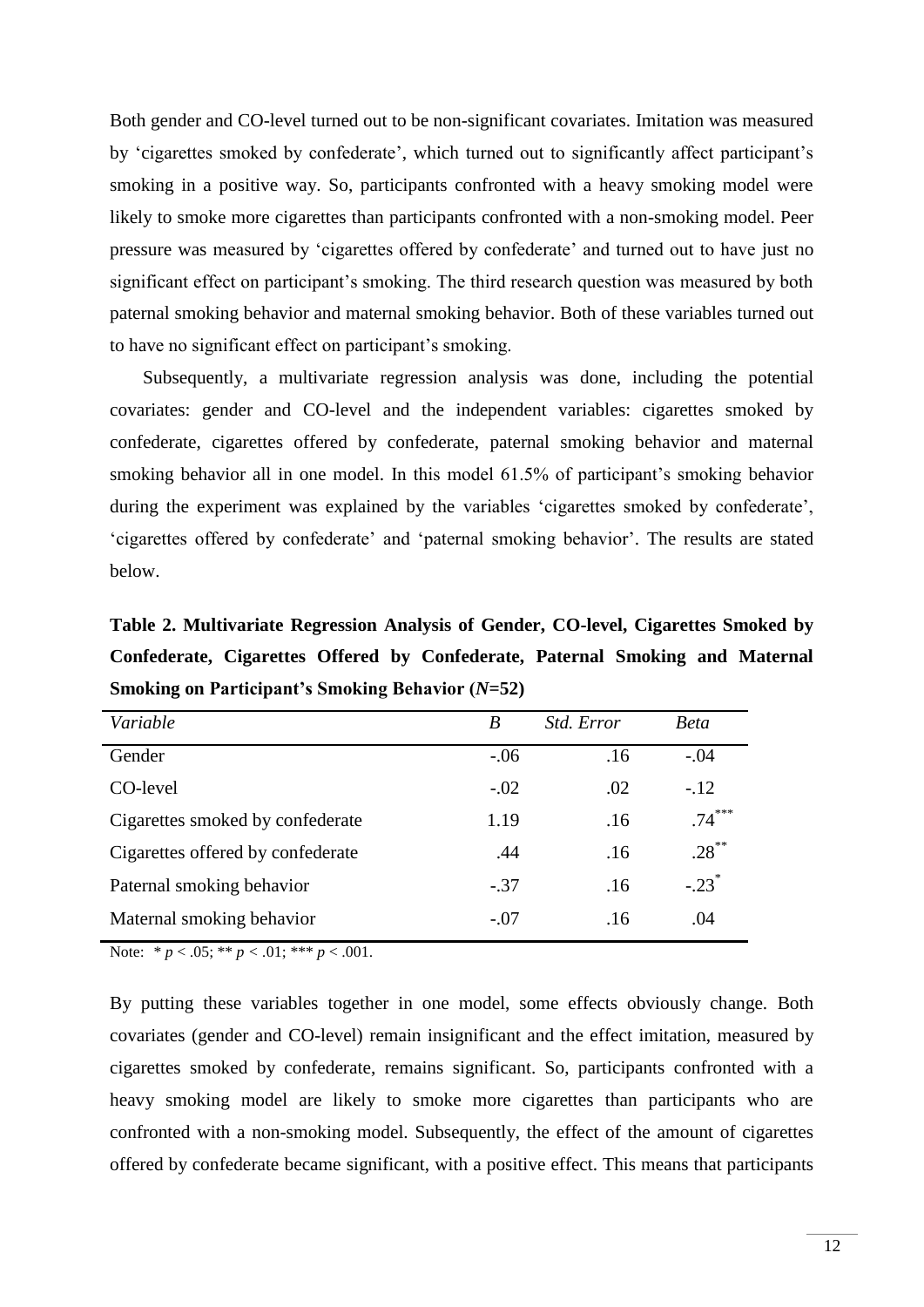Both gender and CO-level turned out to be non-significant covariates. Imitation was measured by 'cigarettes smoked by confederate', which turned out to significantly affect participant's smoking in a positive way. So, participants confronted with a heavy smoking model were likely to smoke more cigarettes than participants confronted with a non-smoking model. Peer pressure was measured by 'cigarettes offered by confederate' and turned out to have just no significant effect on participant's smoking. The third research question was measured by both paternal smoking behavior and maternal smoking behavior. Both of these variables turned out to have no significant effect on participant's smoking.

Subsequently, a multivariate regression analysis was done, including the potential covariates: gender and CO-level and the independent variables: cigarettes smoked by confederate, cigarettes offered by confederate, paternal smoking behavior and maternal smoking behavior all in one model. In this model 61.5% of participant's smoking behavior during the experiment was explained by the variables 'cigarettes smoked by confederate', 'cigarettes offered by confederate' and 'paternal smoking behavior'. The results are stated below.

**Table 2. Multivariate Regression Analysis of Gender, CO-level, Cigarettes Smoked by Confederate, Cigarettes Offered by Confederate, Paternal Smoking and Maternal Smoking on Participant's Smoking Behavior (***N***=52)**

| Variable                          | B      | <i>Std. Error</i> | <b>Beta</b>         |
|-----------------------------------|--------|-------------------|---------------------|
| Gender                            | $-.06$ | .16               | $-.04$              |
| CO-level                          | $-.02$ | .02               | $-.12$              |
| Cigarettes smoked by confederate  | 1.19   | .16               | $.74***$            |
| Cigarettes offered by confederate | .44    | .16               | $.28***$            |
| Paternal smoking behavior         | $-.37$ | .16               | $-.23$ <sup>*</sup> |
| Maternal smoking behavior         | $-.07$ | .16               | .04                 |

Note: \*  $p < .05$ ; \*\*  $p < .01$ ; \*\*\*  $p < .001$ .

By putting these variables together in one model, some effects obviously change. Both covariates (gender and CO-level) remain insignificant and the effect imitation, measured by cigarettes smoked by confederate, remains significant. So, participants confronted with a heavy smoking model are likely to smoke more cigarettes than participants who are confronted with a non-smoking model. Subsequently, the effect of the amount of cigarettes offered by confederate became significant, with a positive effect. This means that participants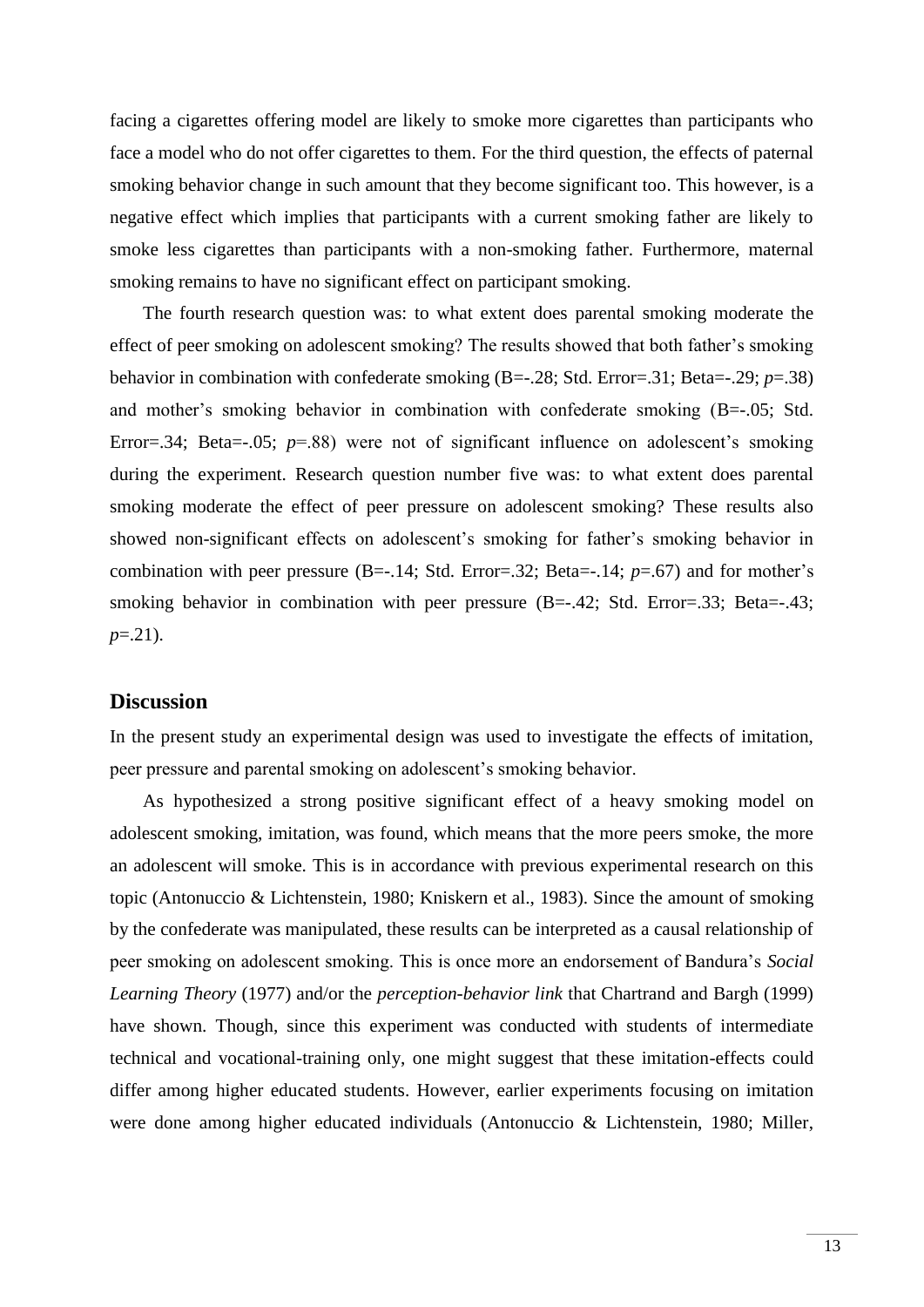facing a cigarettes offering model are likely to smoke more cigarettes than participants who face a model who do not offer cigarettes to them. For the third question, the effects of paternal smoking behavior change in such amount that they become significant too. This however, is a negative effect which implies that participants with a current smoking father are likely to smoke less cigarettes than participants with a non-smoking father. Furthermore, maternal smoking remains to have no significant effect on participant smoking.

The fourth research question was: to what extent does parental smoking moderate the effect of peer smoking on adolescent smoking? The results showed that both father's smoking behavior in combination with confederate smoking (B=-.28; Std. Error=.31; Beta=-.29; *p*=.38) and mother's smoking behavior in combination with confederate smoking (B=-.05; Std. Error=.34; Beta=-.05; *p*=.88) were not of significant influence on adolescent's smoking during the experiment. Research question number five was: to what extent does parental smoking moderate the effect of peer pressure on adolescent smoking? These results also showed non-significant effects on adolescent's smoking for father's smoking behavior in combination with peer pressure (B=-.14; Std. Error=.32; Beta=-.14; *p*=.67) and for mother's smoking behavior in combination with peer pressure  $(B=-.42; Std. Error=.33; Beta=.43;$ *p*=.21).

# **Discussion**

In the present study an experimental design was used to investigate the effects of imitation, peer pressure and parental smoking on adolescent's smoking behavior.

As hypothesized a strong positive significant effect of a heavy smoking model on adolescent smoking, imitation, was found, which means that the more peers smoke, the more an adolescent will smoke. This is in accordance with previous experimental research on this topic (Antonuccio & Lichtenstein, 1980; Kniskern et al., 1983). Since the amount of smoking by the confederate was manipulated, these results can be interpreted as a causal relationship of peer smoking on adolescent smoking. This is once more an endorsement of Bandura's *Social Learning Theory* (1977) and/or the *perception-behavior link* that Chartrand and Bargh (1999) have shown. Though, since this experiment was conducted with students of intermediate technical and vocational-training only, one might suggest that these imitation-effects could differ among higher educated students. However, earlier experiments focusing on imitation were done among higher educated individuals (Antonuccio & Lichtenstein, 1980; Miller,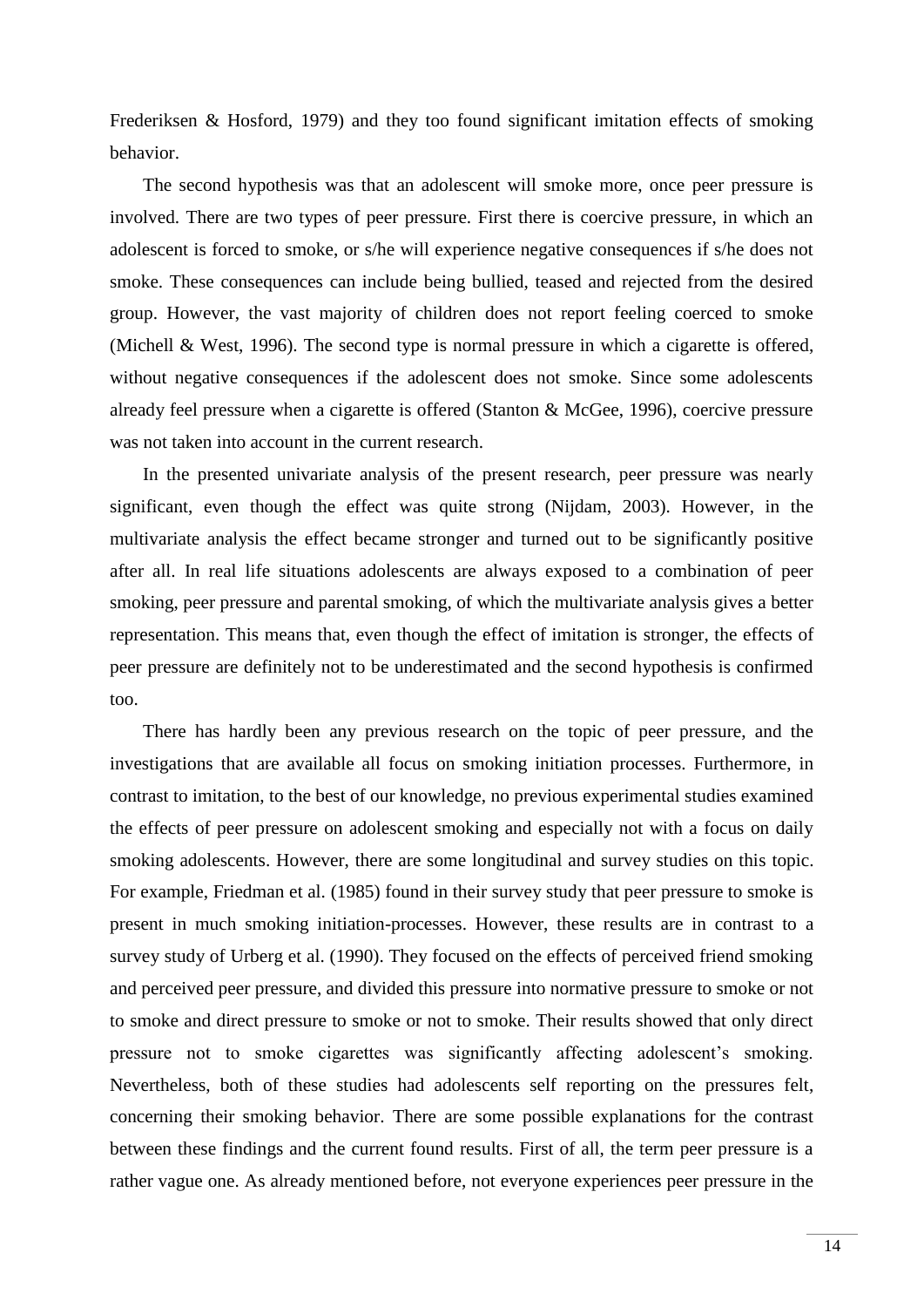Frederiksen & Hosford, 1979) and they too found significant imitation effects of smoking behavior.

The second hypothesis was that an adolescent will smoke more, once peer pressure is involved. There are two types of peer pressure. First there is coercive pressure, in which an adolescent is forced to smoke, or s/he will experience negative consequences if s/he does not smoke. These consequences can include being bullied, teased and rejected from the desired group. However, the vast majority of children does not report feeling coerced to smoke (Michell & West, 1996). The second type is normal pressure in which a cigarette is offered, without negative consequences if the adolescent does not smoke. Since some adolescents already feel pressure when a cigarette is offered (Stanton & McGee, 1996), coercive pressure was not taken into account in the current research.

In the presented univariate analysis of the present research, peer pressure was nearly significant, even though the effect was quite strong (Nijdam, 2003). However, in the multivariate analysis the effect became stronger and turned out to be significantly positive after all. In real life situations adolescents are always exposed to a combination of peer smoking, peer pressure and parental smoking, of which the multivariate analysis gives a better representation. This means that, even though the effect of imitation is stronger, the effects of peer pressure are definitely not to be underestimated and the second hypothesis is confirmed too.

There has hardly been any previous research on the topic of peer pressure, and the investigations that are available all focus on smoking initiation processes. Furthermore, in contrast to imitation, to the best of our knowledge, no previous experimental studies examined the effects of peer pressure on adolescent smoking and especially not with a focus on daily smoking adolescents. However, there are some longitudinal and survey studies on this topic. For example, Friedman et al. (1985) found in their survey study that peer pressure to smoke is present in much smoking initiation-processes. However, these results are in contrast to a survey study of Urberg et al. (1990). They focused on the effects of perceived friend smoking and perceived peer pressure, and divided this pressure into normative pressure to smoke or not to smoke and direct pressure to smoke or not to smoke. Their results showed that only direct pressure not to smoke cigarettes was significantly affecting adolescent's smoking. Nevertheless, both of these studies had adolescents self reporting on the pressures felt, concerning their smoking behavior. There are some possible explanations for the contrast between these findings and the current found results. First of all, the term peer pressure is a rather vague one. As already mentioned before, not everyone experiences peer pressure in the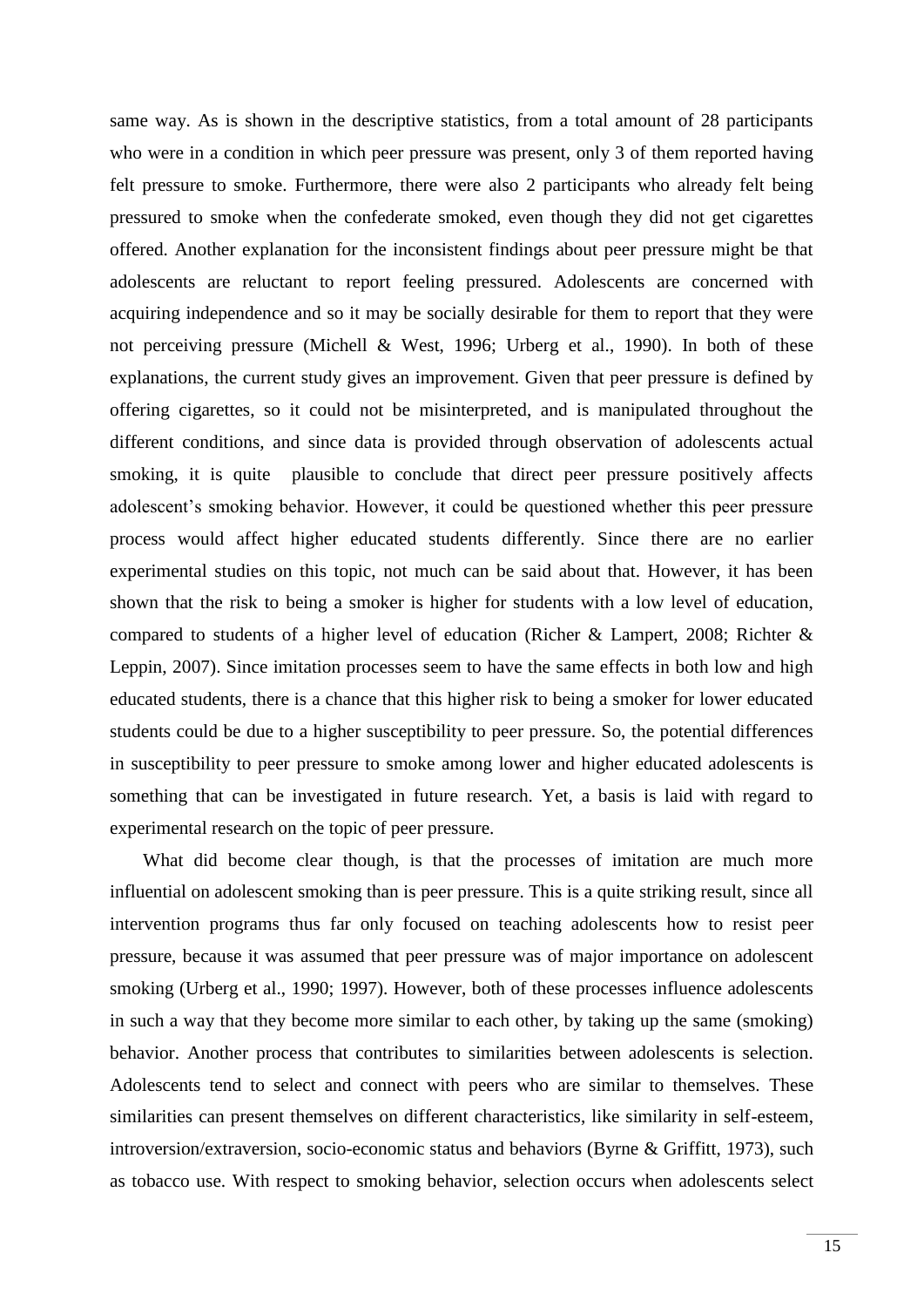same way. As is shown in the descriptive statistics, from a total amount of 28 participants who were in a condition in which peer pressure was present, only 3 of them reported having felt pressure to smoke. Furthermore, there were also 2 participants who already felt being pressured to smoke when the confederate smoked, even though they did not get cigarettes offered. Another explanation for the inconsistent findings about peer pressure might be that adolescents are reluctant to report feeling pressured. Adolescents are concerned with acquiring independence and so it may be socially desirable for them to report that they were not perceiving pressure (Michell & West, 1996; Urberg et al., 1990). In both of these explanations, the current study gives an improvement. Given that peer pressure is defined by offering cigarettes, so it could not be misinterpreted, and is manipulated throughout the different conditions, and since data is provided through observation of adolescents actual smoking, it is quite plausible to conclude that direct peer pressure positively affects adolescent's smoking behavior. However, it could be questioned whether this peer pressure process would affect higher educated students differently. Since there are no earlier experimental studies on this topic, not much can be said about that. However, it has been shown that the risk to being a smoker is higher for students with a low level of education, compared to students of a higher level of education (Richer & Lampert, 2008; Richter & Leppin, 2007). Since imitation processes seem to have the same effects in both low and high educated students, there is a chance that this higher risk to being a smoker for lower educated students could be due to a higher susceptibility to peer pressure. So, the potential differences in susceptibility to peer pressure to smoke among lower and higher educated adolescents is something that can be investigated in future research. Yet, a basis is laid with regard to experimental research on the topic of peer pressure.

What did become clear though, is that the processes of imitation are much more influential on adolescent smoking than is peer pressure. This is a quite striking result, since all intervention programs thus far only focused on teaching adolescents how to resist peer pressure, because it was assumed that peer pressure was of major importance on adolescent smoking (Urberg et al., 1990; 1997). However, both of these processes influence adolescents in such a way that they become more similar to each other, by taking up the same (smoking) behavior. Another process that contributes to similarities between adolescents is selection. Adolescents tend to select and connect with peers who are similar to themselves. These similarities can present themselves on different characteristics, like similarity in self-esteem, introversion/extraversion, socio-economic status and behaviors (Byrne & Griffitt, 1973), such as tobacco use. With respect to smoking behavior, selection occurs when adolescents select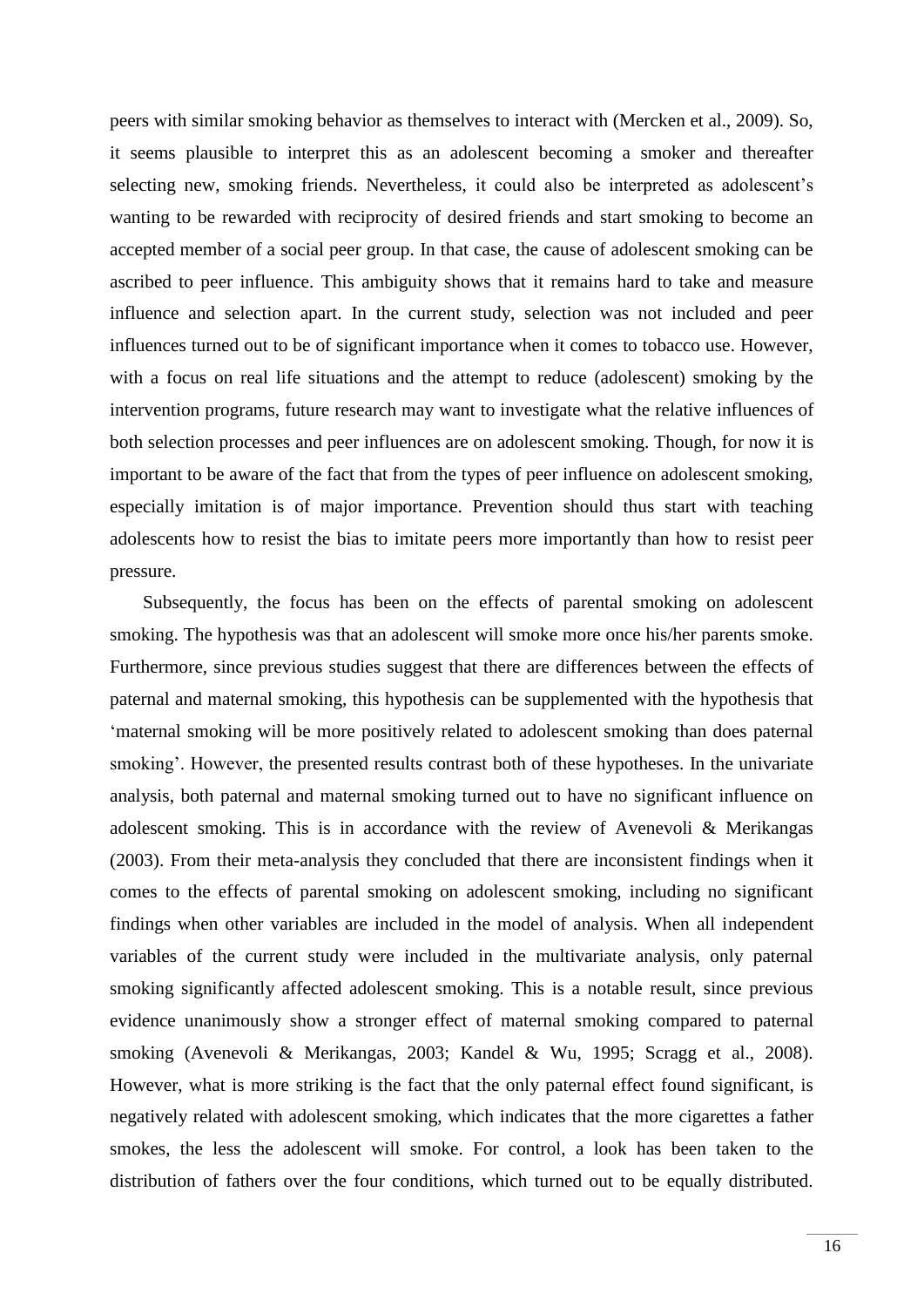peers with similar smoking behavior as themselves to interact with (Mercken et al., 2009). So, it seems plausible to interpret this as an adolescent becoming a smoker and thereafter selecting new, smoking friends. Nevertheless, it could also be interpreted as adolescent's wanting to be rewarded with reciprocity of desired friends and start smoking to become an accepted member of a social peer group. In that case, the cause of adolescent smoking can be ascribed to peer influence. This ambiguity shows that it remains hard to take and measure influence and selection apart. In the current study, selection was not included and peer influences turned out to be of significant importance when it comes to tobacco use. However, with a focus on real life situations and the attempt to reduce (adolescent) smoking by the intervention programs, future research may want to investigate what the relative influences of both selection processes and peer influences are on adolescent smoking. Though, for now it is important to be aware of the fact that from the types of peer influence on adolescent smoking, especially imitation is of major importance. Prevention should thus start with teaching adolescents how to resist the bias to imitate peers more importantly than how to resist peer pressure.

Subsequently, the focus has been on the effects of parental smoking on adolescent smoking. The hypothesis was that an adolescent will smoke more once his/her parents smoke. Furthermore, since previous studies suggest that there are differences between the effects of paternal and maternal smoking, this hypothesis can be supplemented with the hypothesis that 'maternal smoking will be more positively related to adolescent smoking than does paternal smoking'. However, the presented results contrast both of these hypotheses. In the univariate analysis, both paternal and maternal smoking turned out to have no significant influence on adolescent smoking. This is in accordance with the review of Avenevoli & Merikangas (2003). From their meta-analysis they concluded that there are inconsistent findings when it comes to the effects of parental smoking on adolescent smoking, including no significant findings when other variables are included in the model of analysis. When all independent variables of the current study were included in the multivariate analysis, only paternal smoking significantly affected adolescent smoking. This is a notable result, since previous evidence unanimously show a stronger effect of maternal smoking compared to paternal smoking (Avenevoli & Merikangas, 2003; Kandel & Wu, 1995; Scragg et al., 2008). However, what is more striking is the fact that the only paternal effect found significant, is negatively related with adolescent smoking, which indicates that the more cigarettes a father smokes, the less the adolescent will smoke. For control, a look has been taken to the distribution of fathers over the four conditions, which turned out to be equally distributed.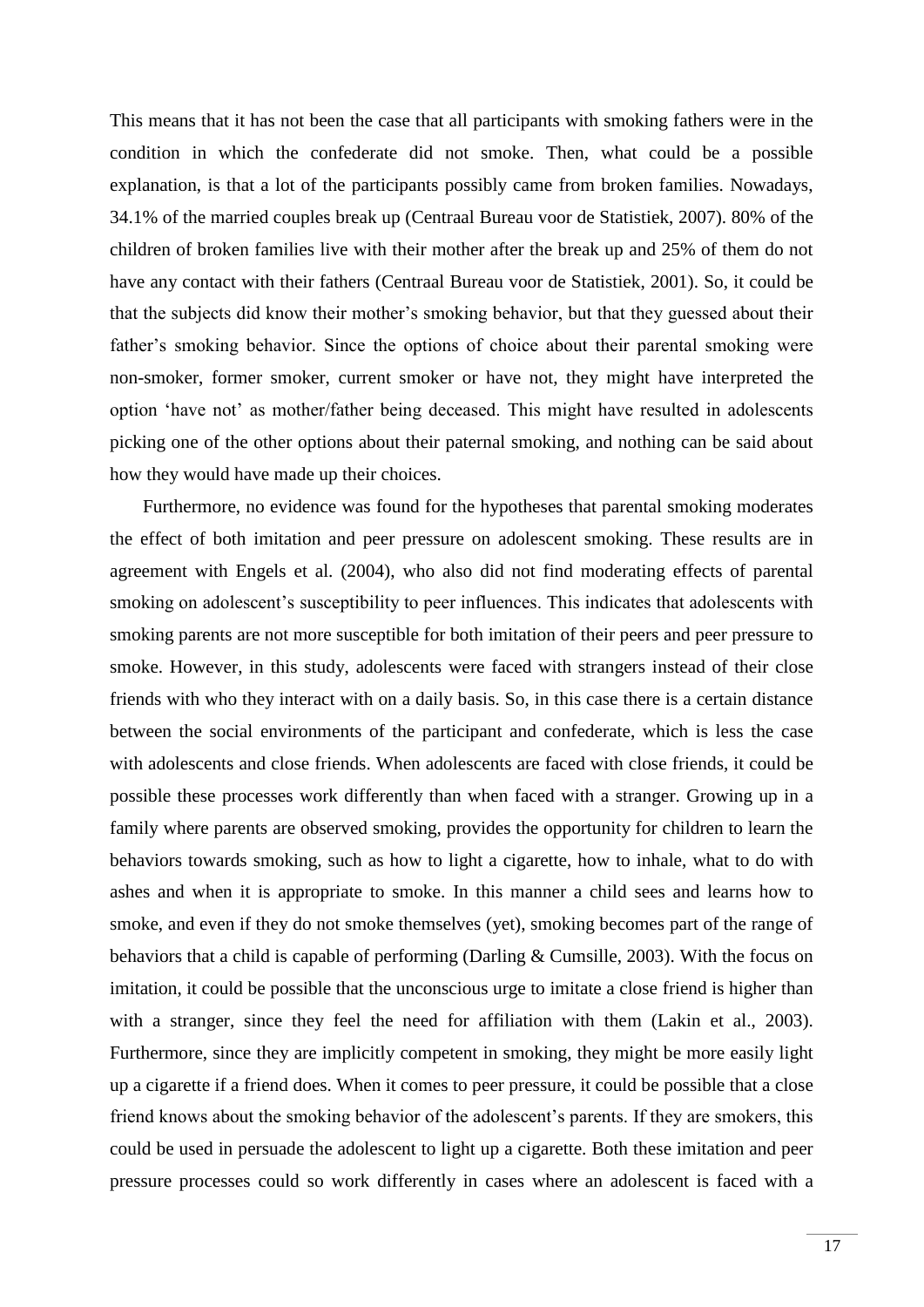This means that it has not been the case that all participants with smoking fathers were in the condition in which the confederate did not smoke. Then, what could be a possible explanation, is that a lot of the participants possibly came from broken families. Nowadays, 34.1% of the married couples break up (Centraal Bureau voor de Statistiek, 2007). 80% of the children of broken families live with their mother after the break up and 25% of them do not have any contact with their fathers (Centraal Bureau voor de Statistiek, 2001). So, it could be that the subjects did know their mother's smoking behavior, but that they guessed about their father's smoking behavior. Since the options of choice about their parental smoking were non-smoker, former smoker, current smoker or have not, they might have interpreted the option 'have not' as mother/father being deceased. This might have resulted in adolescents picking one of the other options about their paternal smoking, and nothing can be said about how they would have made up their choices.

Furthermore, no evidence was found for the hypotheses that parental smoking moderates the effect of both imitation and peer pressure on adolescent smoking. These results are in agreement with Engels et al. (2004), who also did not find moderating effects of parental smoking on adolescent's susceptibility to peer influences. This indicates that adolescents with smoking parents are not more susceptible for both imitation of their peers and peer pressure to smoke. However, in this study, adolescents were faced with strangers instead of their close friends with who they interact with on a daily basis. So, in this case there is a certain distance between the social environments of the participant and confederate, which is less the case with adolescents and close friends. When adolescents are faced with close friends, it could be possible these processes work differently than when faced with a stranger. Growing up in a family where parents are observed smoking, provides the opportunity for children to learn the behaviors towards smoking, such as how to light a cigarette, how to inhale, what to do with ashes and when it is appropriate to smoke. In this manner a child sees and learns how to smoke, and even if they do not smoke themselves (yet), smoking becomes part of the range of behaviors that a child is capable of performing (Darling & Cumsille, 2003). With the focus on imitation, it could be possible that the unconscious urge to imitate a close friend is higher than with a stranger, since they feel the need for affiliation with them (Lakin et al., 2003). Furthermore, since they are implicitly competent in smoking, they might be more easily light up a cigarette if a friend does. When it comes to peer pressure, it could be possible that a close friend knows about the smoking behavior of the adolescent's parents. If they are smokers, this could be used in persuade the adolescent to light up a cigarette. Both these imitation and peer pressure processes could so work differently in cases where an adolescent is faced with a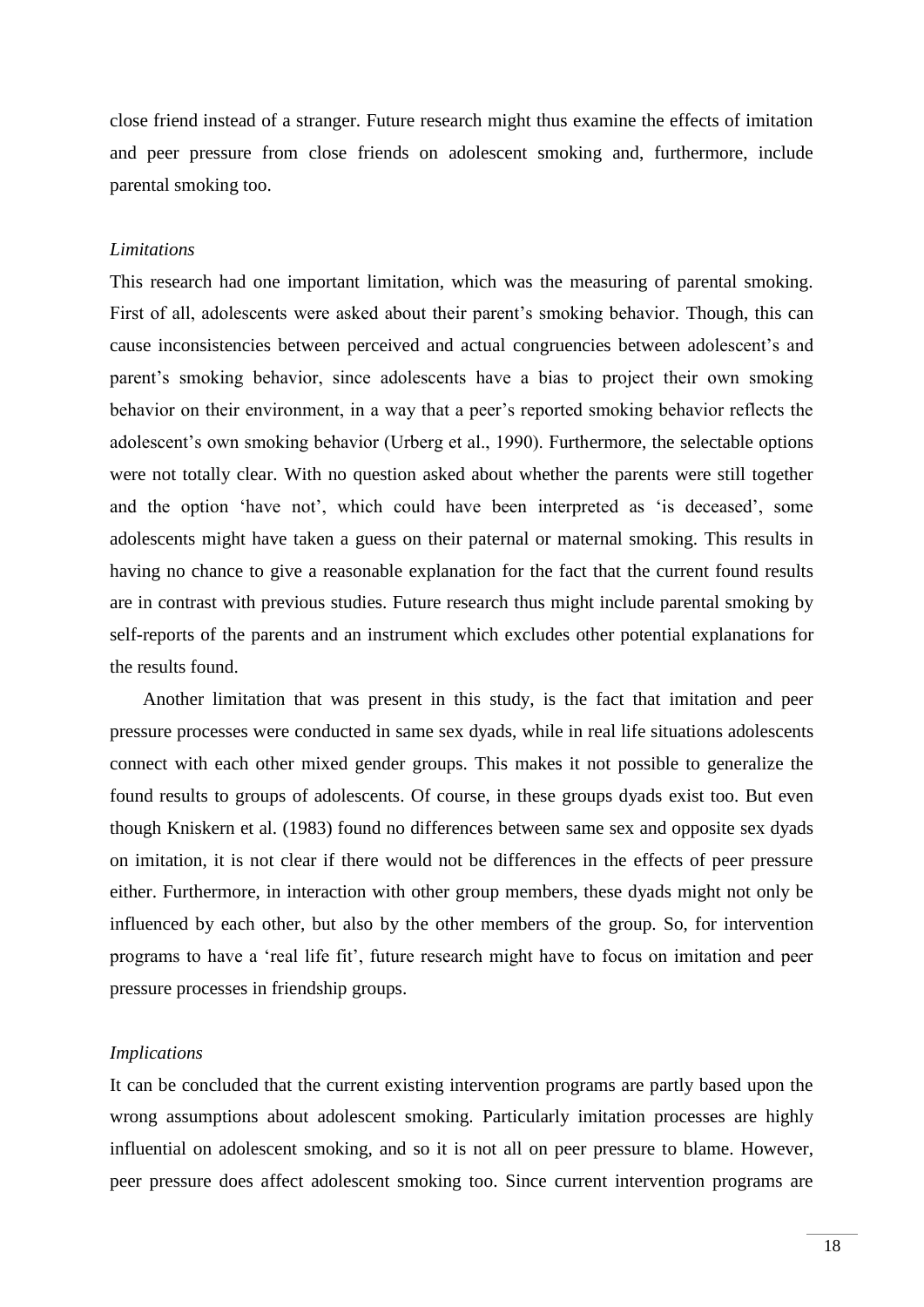close friend instead of a stranger. Future research might thus examine the effects of imitation and peer pressure from close friends on adolescent smoking and, furthermore, include parental smoking too.

# *Limitations*

This research had one important limitation, which was the measuring of parental smoking. First of all, adolescents were asked about their parent's smoking behavior. Though, this can cause inconsistencies between perceived and actual congruencies between adolescent's and parent's smoking behavior, since adolescents have a bias to project their own smoking behavior on their environment, in a way that a peer's reported smoking behavior reflects the adolescent's own smoking behavior (Urberg et al., 1990). Furthermore, the selectable options were not totally clear. With no question asked about whether the parents were still together and the option 'have not', which could have been interpreted as 'is deceased', some adolescents might have taken a guess on their paternal or maternal smoking. This results in having no chance to give a reasonable explanation for the fact that the current found results are in contrast with previous studies. Future research thus might include parental smoking by self-reports of the parents and an instrument which excludes other potential explanations for the results found.

Another limitation that was present in this study, is the fact that imitation and peer pressure processes were conducted in same sex dyads, while in real life situations adolescents connect with each other mixed gender groups. This makes it not possible to generalize the found results to groups of adolescents. Of course, in these groups dyads exist too. But even though Kniskern et al. (1983) found no differences between same sex and opposite sex dyads on imitation, it is not clear if there would not be differences in the effects of peer pressure either. Furthermore, in interaction with other group members, these dyads might not only be influenced by each other, but also by the other members of the group. So, for intervention programs to have a 'real life fit', future research might have to focus on imitation and peer pressure processes in friendship groups.

#### *Implications*

It can be concluded that the current existing intervention programs are partly based upon the wrong assumptions about adolescent smoking. Particularly imitation processes are highly influential on adolescent smoking, and so it is not all on peer pressure to blame. However, peer pressure does affect adolescent smoking too. Since current intervention programs are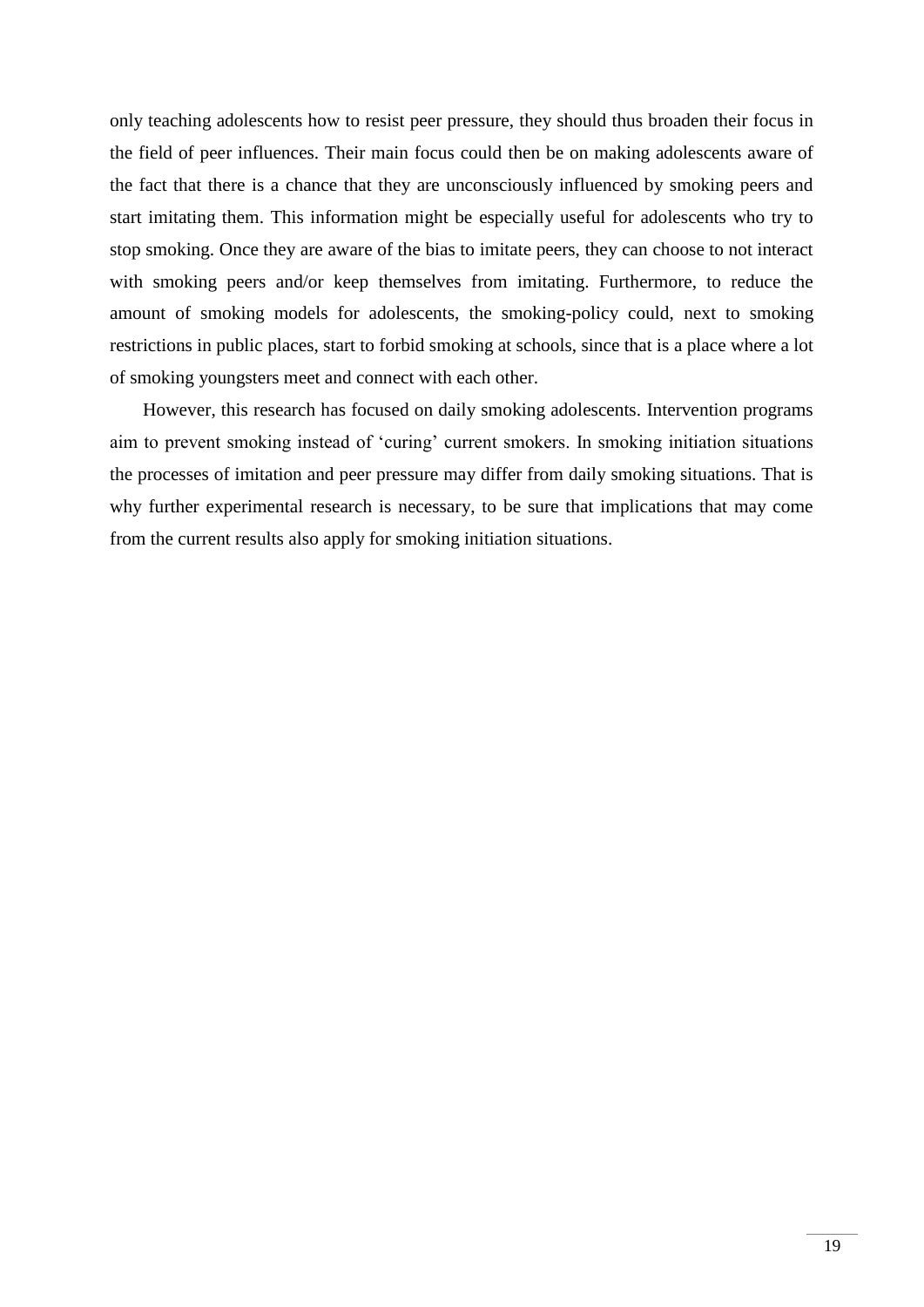only teaching adolescents how to resist peer pressure, they should thus broaden their focus in the field of peer influences. Their main focus could then be on making adolescents aware of the fact that there is a chance that they are unconsciously influenced by smoking peers and start imitating them. This information might be especially useful for adolescents who try to stop smoking. Once they are aware of the bias to imitate peers, they can choose to not interact with smoking peers and/or keep themselves from imitating. Furthermore, to reduce the amount of smoking models for adolescents, the smoking-policy could, next to smoking restrictions in public places, start to forbid smoking at schools, since that is a place where a lot of smoking youngsters meet and connect with each other.

However, this research has focused on daily smoking adolescents. Intervention programs aim to prevent smoking instead of 'curing' current smokers. In smoking initiation situations the processes of imitation and peer pressure may differ from daily smoking situations. That is why further experimental research is necessary, to be sure that implications that may come from the current results also apply for smoking initiation situations.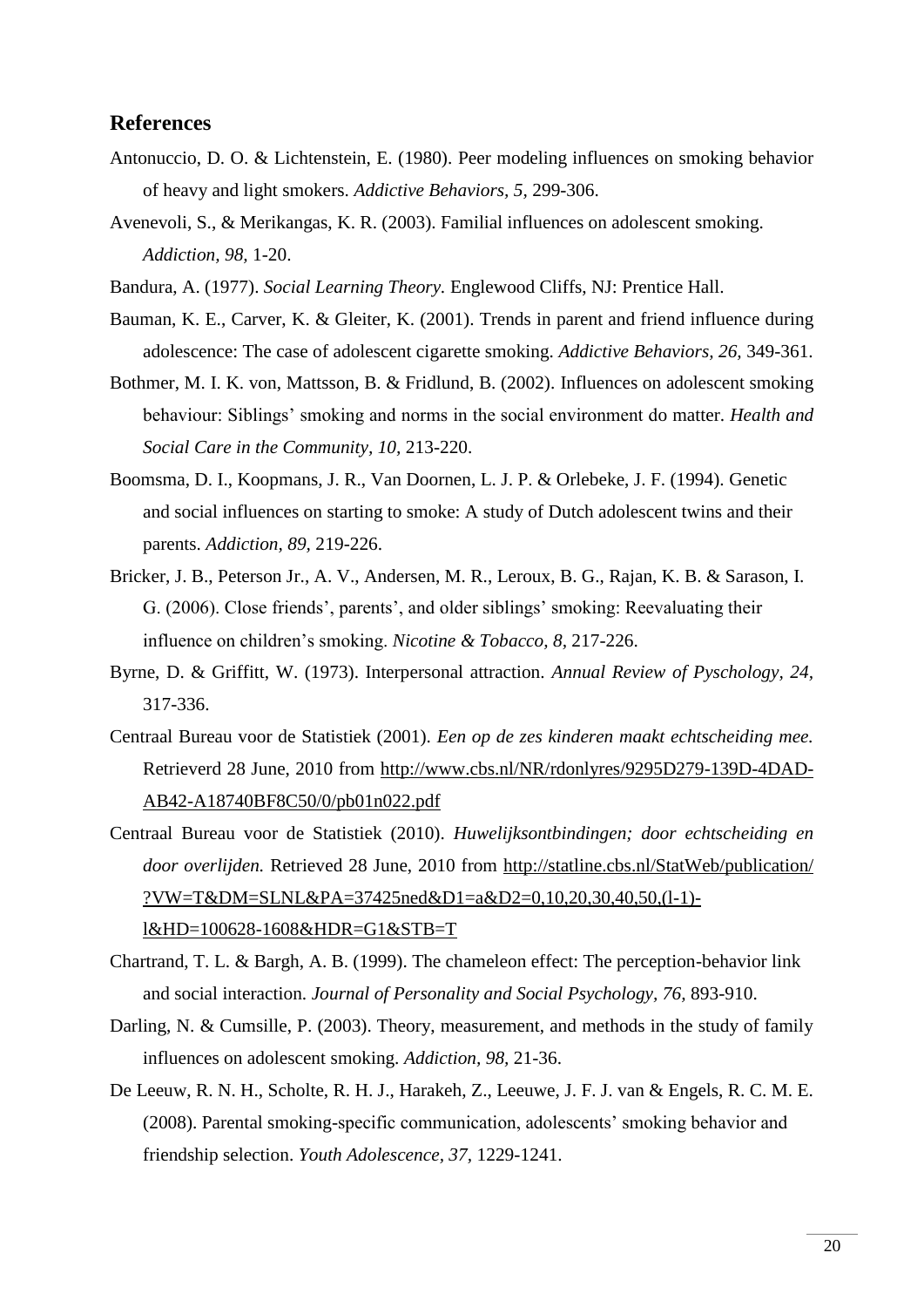# **References**

- Antonuccio, D. O. & Lichtenstein, E. (1980). Peer modeling influences on smoking behavior of heavy and light smokers. *Addictive Behaviors, 5,* 299-306.
- Avenevoli, S., & Merikangas, K. R. (2003). Familial influences on adolescent smoking. *Addiction, 98,* 1-20.
- Bandura, A. (1977). *Social Learning Theory.* Englewood Cliffs, NJ: Prentice Hall.
- Bauman, K. E., Carver, K. & Gleiter, K. (2001). Trends in parent and friend influence during adolescence: The case of adolescent cigarette smoking. *Addictive Behaviors, 26,* 349-361.
- Bothmer, M. I. K. von, Mattsson, B. & Fridlund, B. (2002). Influences on adolescent smoking behaviour: Siblings' smoking and norms in the social environment do matter. *Health and Social Care in the Community, 10,* 213-220.
- Boomsma, D. I., Koopmans, J. R., Van Doornen, L. J. P. & Orlebeke, J. F. (1994). Genetic and social influences on starting to smoke: A study of Dutch adolescent twins and their parents. *Addiction, 89,* 219-226.
- Bricker, J. B., Peterson Jr., A. V., Andersen, M. R., Leroux, B. G., Rajan, K. B. & Sarason, I. G. (2006). Close friends', parents', and older siblings' smoking: Reevaluating their influence on children's smoking. *Nicotine & Tobacco, 8,* 217-226.
- Byrne, D. & Griffitt, W. (1973). Interpersonal attraction. *Annual Review of Pyschology, 24,*  317-336.
- Centraal Bureau voor de Statistiek (2001). *Een op de zes kinderen maakt echtscheiding mee.* Retrieverd 28 June, 2010 from [http://www.cbs.nl/NR/rdonlyres/9295D279-139D-4DAD-](http://www.cbs.nl/NR/rdonlyres/9295D279-139D-4DAD-AB42-A18740BF8C50/0/pb01n022.pdf)[AB42-A18740BF8C50/0/pb01n022.pdf](http://www.cbs.nl/NR/rdonlyres/9295D279-139D-4DAD-AB42-A18740BF8C50/0/pb01n022.pdf)
- Centraal Bureau voor de Statistiek (2010). *Huwelijksontbindingen; door echtscheiding en door overlijden.* Retrieved 28 June, 2010 from [http://statline.cbs.nl/StatWeb/publication/](http://statline.cbs.nl/StatWeb/publication/%20?VW=T&DM=SLNL&PA=37425ned&D1=a&D2=0,10,20,30,40,50,(l-1)-l&HD=100628-1608&HDR=G1&STB=T)  [?VW=T&DM=SLNL&PA=37425ned&D1=a&D2=0,10,20,30,40,50,\(l-1\)](http://statline.cbs.nl/StatWeb/publication/%20?VW=T&DM=SLNL&PA=37425ned&D1=a&D2=0,10,20,30,40,50,(l-1)-l&HD=100628-1608&HDR=G1&STB=T) [l&HD=100628-1608&HDR=G1&STB=T](http://statline.cbs.nl/StatWeb/publication/%20?VW=T&DM=SLNL&PA=37425ned&D1=a&D2=0,10,20,30,40,50,(l-1)-l&HD=100628-1608&HDR=G1&STB=T)
- Chartrand, T. L. & Bargh, A. B. (1999). The chameleon effect: The perception-behavior link and social interaction. *Journal of Personality and Social Psychology, 76,* 893-910.
- Darling, N. & Cumsille, P. (2003). Theory, measurement, and methods in the study of family influences on adolescent smoking. *Addiction, 98,* 21-36.
- De Leeuw, R. N. H., Scholte, R. H. J., Harakeh, Z., Leeuwe, J. F. J. van & Engels, R. C. M. E. (2008). Parental smoking-specific communication, adolescents' smoking behavior and friendship selection. *Youth Adolescence, 37,* 1229-1241.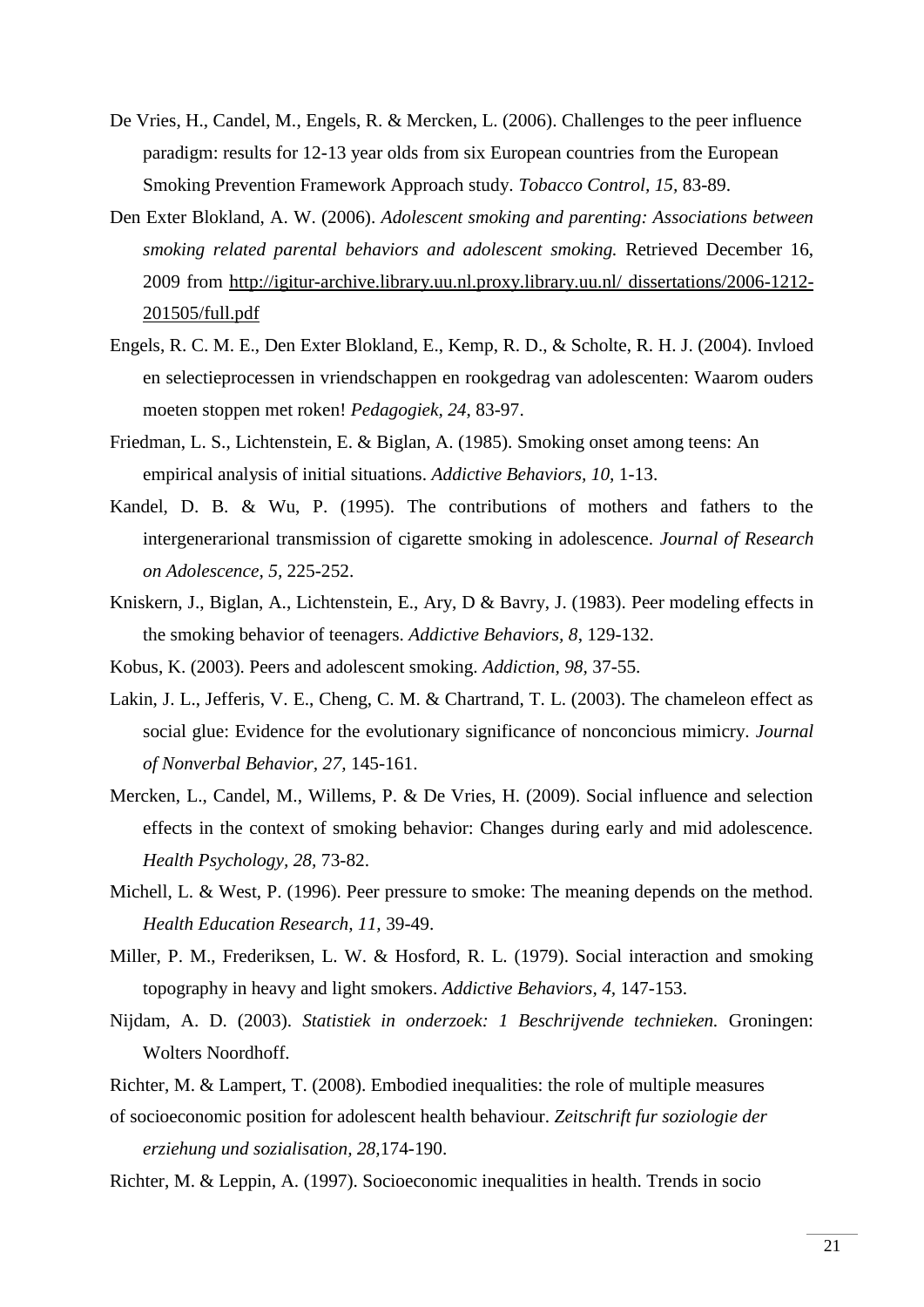- De Vries, H., Candel, M., Engels, R. & Mercken, L. (2006). Challenges to the peer influence paradigm: results for 12-13 year olds from six European countries from the European Smoking Prevention Framework Approach study. *Tobacco Control, 15,* 83-89.
- Den Exter Blokland, A. W. (2006). *Adolescent smoking and parenting: Associations between smoking related parental behaviors and adolescent smoking.* Retrieved December 16, 2009 from [http://igitur-archive.library.uu.nl.proxy.library.uu.nl/ dissertations/2006-1212-](http://igitur-archive.library.uu.nl.proxy.library.uu.nl/%20dissertations/2006-1212-201505/full.pdf) [201505/full.pdf](http://igitur-archive.library.uu.nl.proxy.library.uu.nl/%20dissertations/2006-1212-201505/full.pdf)
- Engels, R. C. M. E., Den Exter Blokland, E., Kemp, R. D., & Scholte, R. H. J. (2004). Invloed en selectieprocessen in vriendschappen en rookgedrag van adolescenten: Waarom ouders moeten stoppen met roken! *Pedagogiek, 24*, 83-97.
- Friedman, L. S., Lichtenstein, E. & Biglan, A. (1985). Smoking onset among teens: An empirical analysis of initial situations. *Addictive Behaviors, 10,* 1-13.
- Kandel, D. B. & Wu, P. (1995). The contributions of mothers and fathers to the intergenerarional transmission of cigarette smoking in adolescence. *Journal of Research on Adolescence, 5,* 225-252.
- Kniskern, J., Biglan, A., Lichtenstein, E., Ary, D & Bavry, J. (1983). Peer modeling effects in the smoking behavior of teenagers. *Addictive Behaviors, 8*, 129-132.
- Kobus, K. (2003). Peers and adolescent smoking. *Addiction, 98,* 37-55.
- Lakin, J. L., Jefferis, V. E., Cheng, C. M. & Chartrand, T. L. (2003). The chameleon effect as social glue: Evidence for the evolutionary significance of nonconcious mimicry. *Journal of Nonverbal Behavior, 27,* 145-161.
- Mercken, L., Candel, M., Willems, P. & De Vries, H. (2009). Social influence and selection effects in the context of smoking behavior: Changes during early and mid adolescence. *Health Psychology, 28,* 73-82.
- Michell, L. & West, P. (1996). Peer pressure to smoke: The meaning depends on the method. *Health Education Research, 11,* 39-49.
- Miller, P. M., Frederiksen, L. W. & Hosford, R. L. (1979). Social interaction and smoking topography in heavy and light smokers. *Addictive Behaviors, 4,* 147-153.
- Nijdam, A. D. (2003). *Statistiek in onderzoek: 1 Beschrijvende technieken.* Groningen: Wolters Noordhoff.
- Richter, M. & Lampert, T. (2008). Embodied inequalities: the role of multiple measures
- of socioeconomic position for adolescent health behaviour. *Zeitschrift fur soziologie der erziehung und sozialisation, 28,*174-190.
- Richter, M. & Leppin, A. (1997). Socioeconomic inequalities in health. Trends in socio